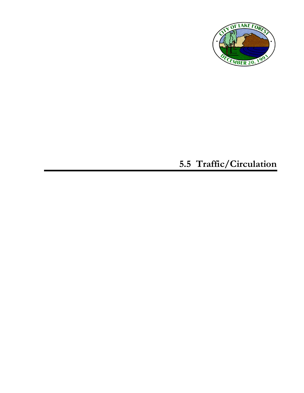

# **5.5 Traffic/Circulation**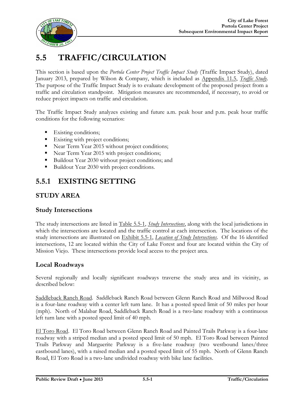

# **5.5 TRAFFIC/CIRCULATION**

This section is based upon the *Portola Center Project Traffic Impact Study* (Traffic Impact Study), dated January 2013, prepared by Wilson & Company, which is included as Appendix 11.5, *Traffic Study*. The purpose of the Traffic Impact Study is to evaluate development of the proposed project from a traffic and circulation standpoint. Mitigation measures are recommended, if necessary, to avoid or reduce project impacts on traffic and circulation.

The Traffic Impact Study analyzes existing and future a.m. peak hour and p.m. peak hour traffic conditions for the following scenarios:

- Existing conditions;
- **Existing with project conditions;**
- Near Term Year 2015 without project conditions;
- Near Term Year 2015 with project conditions;
- Buildout Year 2030 without project conditions; and
- Buildout Year 2030 with project conditions.

# **5.5.1 EXISTING SETTING**

### **STUDY AREA**

#### **Study Intersections**

The study intersections are listed in Table 5.5-1, *Study Intersections*, along with the local jurisdictions in which the intersections are located and the traffic control at each intersection. The locations of the study intersections are illustrated on Exhibit 5.5-1, *Location of Study Intersections*. Of the 16 identified intersections, 12 are located within the City of Lake Forest and four are located within the City of Mission Viejo. These intersections provide local access to the project area.

#### **Local Roadways**

Several regionally and locally significant roadways traverse the study area and its vicinity, as described below:

Saddleback Ranch Road. Saddleback Ranch Road between Glenn Ranch Road and Millwood Road is a four-lane roadway with a center left turn lane. It has a posted speed limit of 50 miles per hour (mph). North of Malabar Road, Saddleback Ranch Road is a two-lane roadway with a continuous left turn lane with a posted speed limit of 40 mph.

El Toro Road. El Toro Road between Glenn Ranch Road and Painted Trails Parkway is a four-lane roadway with a striped median and a posted speed limit of 50 mph. El Toro Road between Painted Trails Parkway and Marguerite Parkway is a five-lane roadway (two westbound lanes/three eastbound lanes), with a raised median and a posted speed limit of 55 mph. North of Glenn Ranch Road, El Toro Road is a two-lane undivided roadway with bike lane facilities.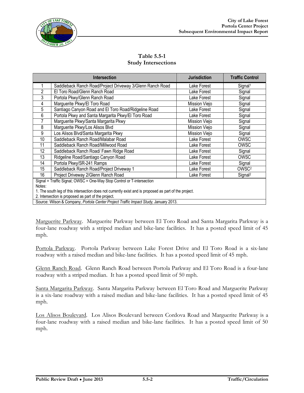

| <b>Table 5.5-1</b>         |
|----------------------------|
| <b>Study Intersections</b> |

|                | <b>Intersection</b>                                                                                    | <b>Jurisdiction</b> | <b>Traffic Control</b> |
|----------------|--------------------------------------------------------------------------------------------------------|---------------------|------------------------|
|                | Saddleback Ranch Road/Project Driveway 3/Glenn Ranch Road                                              | Lake Forest         | Signal <sup>1</sup>    |
| $\overline{2}$ | El Toro Road/Glenn Ranch Road                                                                          | Lake Forest         | Signal                 |
| 3              | Portola Pkwy/Glenn Ranch Road                                                                          | Lake Forest         | Signal                 |
| 4              | Marguerite Pkwy/El Toro Road                                                                           | Mission Viejo       | Signal                 |
| 5              | Santiago Canyon Road and El Toro Road/Ridgeline Road                                                   | Lake Forest         | Signal                 |
| 6              | Portola Pkwy and Santa Margarita Pkwy/El Toro Road                                                     | Lake Forest         | Signal                 |
| 7              | Marguerite Pkwy/Santa Margarita Pkwy                                                                   | Mission Viejo       | Signal                 |
| 8              | Marguerite Pkwy/Los Alisos Blvd                                                                        | Mission Viejo       | Signal                 |
| 9              | Los Alisos Blvd/Santa Margarita Pkwy                                                                   | Mission Viejo       | Signal                 |
| 10             | Saddleback Ranch Road/Malabar Road                                                                     | Lake Forest         | <b>OWSC</b>            |
| 11             | Saddleback Ranch Road/Millwood Road                                                                    | Lake Forest         | OWSC                   |
| 12             | Saddleback Ranch Road/ Fawn Ridge Road                                                                 | Lake Forest         | Signal                 |
| 13             | Ridgeline Road/Santiago Canyon Road                                                                    | Lake Forest         | OWSC                   |
| 14             | Portola Pkwy/SR-241 Ramps                                                                              | Lake Forest         | Signal                 |
| 15             | Saddleback Ranch Road/Project Driveway 1                                                               | Lake Forest         | OWSC <sup>2</sup>      |
| 16             | Project Driveway 2/Glenn Ranch Road                                                                    | Lake Forest         | Signal <sup>2</sup>    |
|                | Signal = Traffic Signal; OWSC = One-Way Stop Control or T-intersection                                 |                     |                        |
| Notes:         |                                                                                                        |                     |                        |
|                | 1. The south leg of this intersection does not currently exist and is proposed as part of the project. |                     |                        |
|                | 2. Intersection is proposed as part of the project.                                                    |                     |                        |

Source: Wilson & Company, *Portola Center Project Traffic Impact Study*, January 2013.

Marguerite Parkway. Marguerite Parkway between El Toro Road and Santa Margarita Parkway is a four-lane roadway with a striped median and bike-lane facilities. It has a posted speed limit of 45 mph.

Portola Parkway. Portola Parkway between Lake Forest Drive and El Toro Road is a six-lane roadway with a raised median and bike-lane facilities. It has a posted speed limit of 45 mph.

Glenn Ranch Road. Glenn Ranch Road between Portola Parkway and El Toro Road is a four-lane roadway with a striped median. It has a posted speed limit of 50 mph.

Santa Margarita Parkway. Santa Margarita Parkway between El Toro Road and Marguerite Parkway is a six-lane roadway with a raised median and bike-lane facilities. It has a posted speed limit of 45 mph.

Los Alisos Boulevard. Los Alisos Boulevard between Cordova Road and Marguerite Parkway is a four-lane roadway with a raised median and bike-lane facilities. It has a posted speed limit of 50 mph.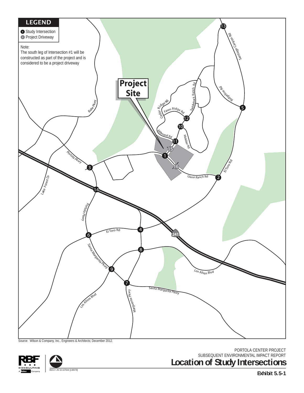

Source: Wilson & Company, Inc., Engineers & Architects; December 2012.

PORTOLA CENTER PROJECT SUBSEQUENT ENVIRONMENTAL IMPACT REPORT **Location of Study Intersections**

**Exhibit 5.5-1**



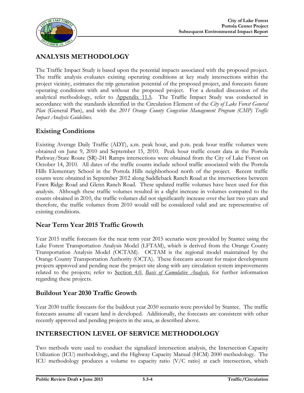

# **ANALYSIS METHODOLOGY**

The Traffic Impact Study is based upon the potential impacts associated with the proposed project. The traffic analysis evaluates existing operating conditions at key study intersections within the project vicinity, estimates the trip generation potential of the proposed project, and forecasts future operating conditions with and without the proposed project. For a detailed discussion of the analytical methodology, refer to Appendix 11.5. The Traffic Impact Study was conducted in accordance with the standards identified in the Circulation Element of the *City of Lake Forest General Plan* (General Plan), and with the *2011 Orange County Congestion Management Program (CMP) Traffic Impact Analysis Guidelines*.

### **Existing Conditions**

Existing Average Daily Traffic (ADT), a.m. peak hour, and p.m. peak hour traffic volumes were obtained on June 9, 2010 and September 15, 2010. Peak hour traffic count data at the Portola Parkway/State Route (SR)-241 Ramps intersections were obtained from the City of Lake Forest on October 14, 2010. All dates of the traffic counts include school traffic associated with the Portola Hills Elementary School in the Portola Hills neighborhood north of the project. Recent traffic counts were obtained in September 2012 along Saddleback Ranch Road at the intersections between Fawn Ridge Road and Glenn Ranch Road. These updated traffic volumes have been used for this analysis. Although these traffic volumes resulted in a slight increase in volumes compared to the counts obtained in 2010, the traffic volumes did not significantly increase over the last two years and therefore, the traffic volumes from 2010 would still be considered valid and are representative of existing conditions.

### **Near Term Year 2015 Traffic Growth**

Year 2015 traffic forecasts for the near term year 2015 scenario were provided by Stantec using the Lake Forest Transportation Analysis Model (LFTAM), which is derived from the Orange County Transportation Analysis Model (OCTAM). OCTAM is the regional model maintained by the Orange County Transportation Authority (OCTA). These forecasts account for major development projects approved and pending near the project site along with any circulation system improvements related to the projects; refer to Section 4.0, *Basis of Cumulative Analysis*, for further information regarding these projects.

### **Buildout Year 2030 Traffic Growth**

Year 2030 traffic forecasts for the buildout year 2030 scenario were provided by Stantec. The traffic forecasts assume all vacant land is developed. Additionally, the forecasts are consistent with other recently approved and pending projects in the area, as described above.

### **INTERSECTION LEVEL OF SERVICE METHODOLOGY**

Two methods were used to conduct the signalized intersection analysis, the Intersection Capacity Utilization (ICU) methodology, and the Highway Capacity Manual (HCM) 2000 methodology. The ICU methodology produces a volume to capacity ratio  $(V/C$  ratio) at each intersection, which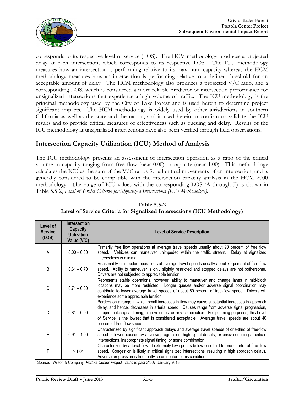

corresponds to its respective level of service (LOS). The HCM methodology produces a projected delay at each intersection, which corresponds to its respective LOS. The ICU methodology measures how an intersection is performing relative to its maximum capacity whereas the HCM methodology measures how an intersection is performing relative to a defined threshold for an acceptable amount of delay. The HCM methodology also produces a projected V/C ratio, and a corresponding LOS, which is considered a more reliable predictor of intersection performance for unsignalized intersections that experience a high volume of traffic. The ICU methodology is the principal methodology used by the City of Lake Forest and is used herein to determine project significant impacts. The HCM methodology is widely used by other jurisdictions in southern California as well as the state and the nation, and is used herein to confirm or validate the ICU results and to provide critical measures of effectiveness such as queuing and delay. Results of the ICU methodology at unsignalized intersections have also been verified through field observations.

### **Intersection Capacity Utilization (ICU) Method of Analysis**

The ICU methodology presents an assessment of intersection operation as a ratio of the critical volume to capacity ranging from free flow (near 0.00) to capacity (near 1.00). This methodology calculates the ICU as the sum of the  $V/C$  ratios for all critical movements of an intersection, and is generally considered to be compatible with the intersection capacity analysis in the HCM 2000 methodology. The range of ICU values with the corresponding LOS (A through F) is shown in Table 5.5-2, *Level of Service Criteria for Signalized Intersections (ICU Methodology)*.

| Level of<br><b>Service</b><br>(LOS) | <b>Intersection</b><br><b>Capacity</b><br><b>Utilization</b><br>Value (V/C) | <b>Level of Service Description</b>                                                                                                                                                                                                                                                                                                                                                                                              |
|-------------------------------------|-----------------------------------------------------------------------------|----------------------------------------------------------------------------------------------------------------------------------------------------------------------------------------------------------------------------------------------------------------------------------------------------------------------------------------------------------------------------------------------------------------------------------|
| A                                   | $0.00 - 0.60$                                                               | Primarily free flow operations at average travel speeds usually about 90 percent of free flow<br>speed. Vehicles can maneuver unimpeded within the traffic stream. Delay at signalized<br>intersections is minimal.                                                                                                                                                                                                              |
| B                                   | $0.61 - 0.70$                                                               | Reasonably unimpeded operations at average travel speeds usually about 70 percent of free flow<br>speed. Ability to maneuver is only slightly restricted and stopped delays are not bothersome.<br>Drivers are not subjected to appreciable tension.                                                                                                                                                                             |
| С                                   | $0.71 - 0.80$                                                               | Represents stable operations, however, ability to maneuver and change lanes in mid-block<br>locations may be more restricted. Longer queues and/or adverse signal coordination may<br>contribute to lower average travel speeds of about 50 percent of free-flow speed. Drivers will<br>experience some appreciable tension.                                                                                                     |
| D                                   | $0.81 - 0.90$                                                               | Borders on a range in which small increases in flow may cause substantial increases in approach<br>delay, and hence, decreases in arterial speed. Causes range from adverse signal progression,<br>inappropriate signal timing, high volumes, or any combination. For planning purposes, this Level<br>of Service is the lowest that is considered acceptable. Average travel speeds are about 40<br>percent of free-flow speed. |
| E                                   | $0.91 - 1.00$                                                               | Characterized by significant approach delays and average travel speeds of one-third of free-flow<br>speed or lower, caused by adverse progression, high signal density, extensive queuing at critical<br>intersections, inappropriate signal timing, or some combination.                                                                                                                                                        |
| F                                   | $\geq 1.01$                                                                 | Characterized by arterial flow at extremely low speeds below one-third to one-quarter of free flow<br>speed. Congestion is likely at critical signalized intersections, resulting in high approach delays.<br>Adverse progression is frequently a contributor to this condition.                                                                                                                                                 |
|                                     |                                                                             | Source: Wilson & Company, Portola Center Project Traffic Impact Study, January 2013.                                                                                                                                                                                                                                                                                                                                             |

**Table 5.5-2 Level of Service Criteria for Signalized Intersections (ICU Methodology)**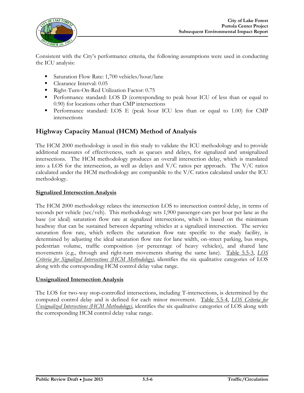

Consistent with the City's performance criteria, the following assumptions were used in conducting the ICU analysis:

- Saturation Flow Rate: 1,700 vehicles/hour/lane
- Clearance Interval:  $0.05$
- Right-Turn-On-Red Utilization Factor: 0.75
- Performance standard: LOS D (corresponding to peak hour ICU of less than or equal to 0.90) for locations other than CMP intersections
- Performance standard: LOS E (peak hour ICU less than or equal to 1.00) for CMP intersections

### **Highway Capacity Manual (HCM) Method of Analysis**

The HCM 2000 methodology is used in this study to validate the ICU methodology and to provide additional measures of effectiveness, such as queues and delays, for signalized and unsignalized intersections. The HCM methodology produces an overall intersection delay, which is translated into a LOS for the intersection, as well as delays and V/C ratios per approach. The V/C ratios calculated under the HCM methodology are comparable to the V/C ratios calculated under the ICU methodology.

#### **Signalized Intersection Analysis**

The HCM 2000 methodology relates the intersection LOS to intersection control delay, in terms of seconds per vehicle (sec/veh). This methodology sets 1,900 passenger-cars per hour per lane as the base (or ideal) saturation flow rate at signalized intersections, which is based on the minimum headway that can be sustained between departing vehicles at a signalized intersection. The service saturation flow rate, which reflects the saturation flow rate specific to the study facility, is determined by adjusting the ideal saturation flow rate for lane width, on-street parking, bus stops, pedestrian volume, traffic composition (or percentage of heavy vehicles), and shared lane movements (e.g., through and right-turn movements sharing the same lane). Table 5.5-3, *LOS Criteria for Signalized Intersections (HCM Methodology)*, identifies the six qualitative categories of LOS along with the corresponding HCM control delay value range.

#### **Unsignalized Intersection Analysis**

The LOS for two-way stop-controlled intersections, including T-intersections, is determined by the computed control delay and is defined for each minor movement. Table 5.5-4, *LOS Criteria for Unsignalized Intersections (HCM Methodology)*, identifies the six qualitative categories of LOS along with the corresponding HCM control delay value range.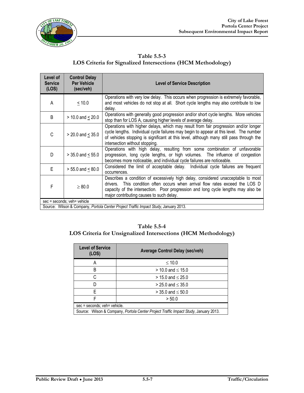

| Table 5.5-3                                                        |
|--------------------------------------------------------------------|
| <b>LOS Criteria for Signalized Intersections (HCM Methodology)</b> |

| Level of<br><b>Service</b><br>(LOS) | <b>Control Delay</b><br><b>Per Vehicle</b><br>(sec/veh) | <b>Level of Service Description</b>                                                                                                                                                                                                                                                                        |
|-------------------------------------|---------------------------------------------------------|------------------------------------------------------------------------------------------------------------------------------------------------------------------------------------------------------------------------------------------------------------------------------------------------------------|
| A                                   | $\leq 10.0$                                             | Operations with very low delay. This occurs when progression is extremely favorable,<br>and most vehicles do not stop at all. Short cycle lengths may also contribute to low<br>delay.                                                                                                                     |
| B                                   | $> 10.0$ and $< 20.0$                                   | Operations with generally good progression and/or short cycle lengths. More vehicles<br>stop than for LOS A, causing higher levels of average delay.                                                                                                                                                       |
| C                                   | $> 20.0$ and $< 35.0$                                   | Operations with higher delays, which may result from fair progression and/or longer<br>cycle lengths. Individual cycle failures may begin to appear at this level. The number<br>of vehicles stopping is significant at this level, although many still pass through the<br>intersection without stopping. |
| D                                   | $> 35.0$ and $< 55.0$                                   | Operations with high delay, resulting from some combination of unfavorable<br>progression, long cycle lengths, or high volumes. The influence of congestion<br>becomes more noticeable, and individual cycle failures are noticeable.                                                                      |
| E                                   | $> 55.0$ and $< 80.0$                                   | Considered the limit of acceptable delay. Individual cycle failures are frequent<br>occurrences.                                                                                                                                                                                                           |
| F                                   | $\geq 80.0$                                             | Describes a condition of excessively high delay, considered unacceptable to most<br>drivers. This condition often occurs when arrival flow rates exceed the LOS D<br>capacity of the intersection. Poor progression and long cycle lengths may also be<br>major contributing causes to such delay.         |
|                                     | sec = seconds; veh= vehicle                             | Source: Wilson & Company, Portola Center Project Traffic Impact Study, January 2013.                                                                                                                                                                                                                       |

#### **Table 5.5-4**

### **LOS Criteria for Unsignalized Intersections (HCM Methodology)**

| <b>Level of Service</b><br>(LOS) | <b>Average Control Delay (sec/veh)</b>                                               |  |  |  |  |  |  |
|----------------------------------|--------------------------------------------------------------------------------------|--|--|--|--|--|--|
| Α                                | $\leq 10.0$                                                                          |  |  |  |  |  |  |
| B                                | $> 10.0$ and $\leq 15.0$                                                             |  |  |  |  |  |  |
| С                                | $> 15.0$ and $\leq 25.0$                                                             |  |  |  |  |  |  |
|                                  | $> 25.0$ and $\leq 35.0$                                                             |  |  |  |  |  |  |
| F                                | $>$ 35.0 and $\leq$ 50.0                                                             |  |  |  |  |  |  |
| F                                | > 50.0                                                                               |  |  |  |  |  |  |
| sec = seconds; veh= vehicle.     |                                                                                      |  |  |  |  |  |  |
|                                  | Source: Wilson & Company, Portola Center Project Traffic Impact Study, January 2013. |  |  |  |  |  |  |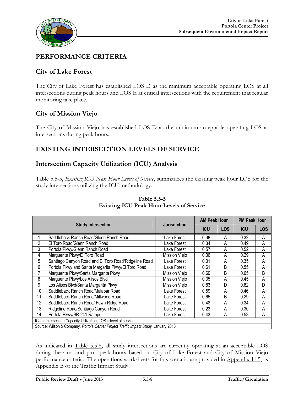

### **PERFORMANCE CRITERIA**

### **City of Lake Forest**

The City of Lake Forest has established LOS D as the minimum acceptable operating LOS at all intersections during peak hours and LOS E at critical intersections with the requirement that regular monitoring take place.

### **City of Mission Viejo**

The City of Mission Viejo has established LOS D as the minimum acceptable operating LOS at intersections during peak hours.

### **EXISTING INTERSECTION LEVELS OF SERVICE**

### **Intersection Capacity Utilization (ICU) Analysis**

Table 5.5-5, *Existing ICU Peak Hour Levels of Service*, summarizes the existing peak hour LOS for the study intersections utilizing the ICU methodology.

|    |                                                                                      |                     | <b>AM Peak Hour</b> |            | <b>PM Peak Hour</b> |            |
|----|--------------------------------------------------------------------------------------|---------------------|---------------------|------------|---------------------|------------|
|    | <b>Study Intersection</b>                                                            | <b>Jurisdiction</b> | <b>ICU</b>          | <b>LOS</b> | <b>ICU</b>          | <b>LOS</b> |
|    | Saddleback Ranch Road/Glenn Ranch Road                                               | Lake Forest         | 0.38                | A          | 0.32                | A          |
| 2  | El Toro Road/Glenn Ranch Road                                                        | Lake Forest         | 0.34                | A          | 0.49                | A          |
| 3  | Portola Pkwy/Glenn Ranch Road                                                        | Lake Forest         | 0.57                | A          | 0.52                | A          |
| 4  | Marguerite Pkwy/El Toro Road                                                         | Mission Viejo       | 0.36                | A          | 0.29                | A          |
| 5  | Santiago Canyon Road and El Toro Road/Ridgeline Road                                 | Lake Forest         | 0.31                | A          | 0.35                | Α          |
| 6  | Portola Pkwy and Santa Margarita Pkwy/El Toro Road                                   | Lake Forest         | 0.61                | B          | 0.55                | A          |
| 7  | Marguerite Pkwy/Santa Margarita Pkwy                                                 | Mission Viejo       | 0.69                | B          | 0.65                | B          |
| 8  | Marguerite Pkwy/Los Alisos Blvd                                                      | Mission Viejo       | 0.35                | Α          | 0.45                | A          |
| 9  | Los Alisos Blvd/Santa Margarita Pkwy                                                 | Mission Viejo       | 0.83                | D          | 0.82                | D          |
| 10 | Saddleback Ranch Road/Malabar Road                                                   | Lake Forest         | 0.59                | A          | 0.46                | A          |
| 11 | Saddleback Ranch Road/Millwood Road                                                  | Lake Forest         | 0.65                | В          | 0.29                | A          |
| 12 | Saddleback Ranch Road/ Fawn Ridge Road                                               | Lake Forest         | 0.48                | Α          | 0.34                | A          |
| 13 | Ridgeline Road/Santiago Canyon Road                                                  | Lake Forest         | 0.23                | Α          | 0.30                | A          |
| 14 | Portola Pkwy/SR-241 Ramps                                                            | Lake Forest         | 0.43                | A          | 0.53                | A          |
|    | ICU = Intersection Capacity Utilization; LOS = level of service.                     |                     |                     |            |                     |            |
|    | Source: Wilson & Company, Portola Center Project Traffic Impact Study, January 2013. |                     |                     |            |                     |            |

#### **Table 5.5-5 Existing ICU Peak Hour Levels of Service**

As indicated in Table 5.5-5, all study intersections are currently operating at an acceptable LOS during the a.m. and p.m. peak hours based on City of Lake Forest and City of Mission Viejo performance criteria. The operations worksheets for this scenario are provided in Appendix 11.5, as Appendix B of the Traffic Impact Study.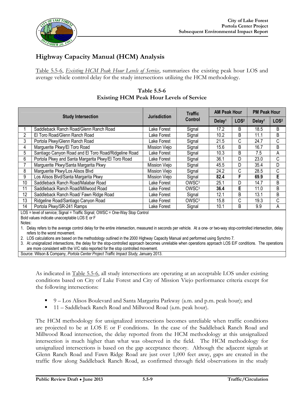

## **Highway Capacity Manual (HCM) Analysis**

Table 5.5-6, *Existing HCM Peak Hour Levels of Service*, summarizes the existing peak hour LOS and average vehicle control delay for the study intersections utilizing the HCM methodology.

| Table 5.5-6                                     |
|-------------------------------------------------|
| <b>Existing HCM Peak Hour Levels of Service</b> |

|        |                                                                                                                                                                                                   |                     | <b>Traffic</b>    | <b>AM Peak Hour</b> |                  | <b>PM Peak Hour</b> |                  |  |
|--------|---------------------------------------------------------------------------------------------------------------------------------------------------------------------------------------------------|---------------------|-------------------|---------------------|------------------|---------------------|------------------|--|
|        | <b>Study Intersection</b>                                                                                                                                                                         | <b>Jurisdiction</b> | <b>Control</b>    | Delay <sup>1</sup>  | LOS <sup>2</sup> | Delay <sup>1</sup>  | LOS <sup>2</sup> |  |
|        | Saddleback Ranch Road/Glenn Ranch Road                                                                                                                                                            | Lake Forest         | Signal            | 17.2                | B                | 18.5                | B                |  |
| 2      | El Toro Road/Glenn Ranch Road                                                                                                                                                                     | Lake Forest         | Signal            | 10.2                | B                | 11.1                | B                |  |
| 3      | Portola Pkwy/Glenn Ranch Road                                                                                                                                                                     | Lake Forest         | Signal            | 21.5                | C                | 24.7                | С                |  |
| 4      | Marguerite Pkwy/El Toro Road                                                                                                                                                                      | Mission Viejo       | Signal            | 15.6                | B                | 16.7                | B                |  |
| 5      | Santiago Canyon Road and El Toro Road/Ridgeline Road                                                                                                                                              | Lake Forest         | Signal            | 10.3                | B                | 7.5                 | A                |  |
| 6      | Portola Pkwy and Santa Margarita Pkwy/El Toro Road                                                                                                                                                | Lake Forest         | Signal            | 36.1                | D                | 23.0                | C                |  |
| 7      | Marguerite Pkwy/Santa Margarita Pkwy                                                                                                                                                              | Mission Viejo       | Signal            | 45.5                | D                | 35.4                | D                |  |
| 8      | Marguerite Pkwy/Los Alisos Blvd                                                                                                                                                                   | Mission Viejo       | Signal            | 24.2                | C                | 28.5                | С                |  |
| 9      | Los Alisos Blvd/Santa Margarita Pkwy                                                                                                                                                              | Mission Viejo       | Signal            | 82.4                | F                | 69.9                | E                |  |
| 10     | Saddleback Ranch Road/Malabar Road                                                                                                                                                                | Lake Forest         | OWSC <sup>3</sup> | 25.1                | D                | 14.7                | B                |  |
| 11     | Saddleback Ranch Road/Millwood Road                                                                                                                                                               | Lake Forest         | OWSC <sup>3</sup> | 36.4                | Е                | 11.0                | B                |  |
| 12     | Saddleback Ranch Road/ Fawn Ridge Road                                                                                                                                                            | Lake Forest         | Signal            | 12.1                | B                | 13.1                | B                |  |
| 13     | Ridgeline Road/Santiago Canyon Road                                                                                                                                                               | Lake Forest         | OWSC <sup>3</sup> | 15.8                | C                | 19.3                | С                |  |
| 14     | Portola Pkwy/SR-241 Ramps                                                                                                                                                                         | Lake Forest         | Signal            | 10.1                | B                | 9.9                 | A                |  |
|        | LOS = level of service; Signal = Traffic Signal; OWSC = One-Way Stop Control                                                                                                                      |                     |                   |                     |                  |                     |                  |  |
|        | Bold values indicate unacceptable LOS E or F                                                                                                                                                      |                     |                   |                     |                  |                     |                  |  |
| Notes: |                                                                                                                                                                                                   |                     |                   |                     |                  |                     |                  |  |
|        | Delay refers to the average control delay for the entire intersection, measured in seconds per vehicle. At a one- or two-way stop-controlled intersection, delay<br>refers to the worst movement. |                     |                   |                     |                  |                     |                  |  |
|        | 2. LOS calculations are based on the methodology outlined in the 2000 Highway Capacity Manual and performed using Synchro 7.                                                                      |                     |                   |                     |                  |                     |                  |  |

3. At unsignalized intersections, the delay for the stop-controlled approach becomes unreliable when operations approach LOS E/F conditions. The operations are more consistent with the V/C ratio reported for the stop controlled movement.

Source: Wilson & Company, *Portola Center Project Traffic Impact Study*, January 2013.

As indicated in Table 5.5-6, all study intersections are operating at an acceptable LOS under existing conditions based on City of Lake Forest and City of Mission Viejo performance criteria except for the following intersections:

- 9 Los Alisos Boulevard and Santa Margarita Parkway (a.m. and p.m. peak hour); and
- 11 Saddleback Ranch Road and Millwood Road (a.m. peak hour).

The HCM methodology for unsignalized intersections becomes unreliable when traffic conditions are projected to be at LOS E or F conditions. In the case of the Saddleback Ranch Road and Millwood Road intersection, the delay reported from the HCM methodology at this unsignalized intersection is much higher than what was observed in the field. The HCM methodology for unsignalized intersections is based on the gap acceptance theory. Although the adjacent signals at Glenn Ranch Road and Fawn Ridge Road are just over 1,000 feet away, gaps are created in the traffic flow along Saddleback Ranch Road, as confirmed through field observations in the study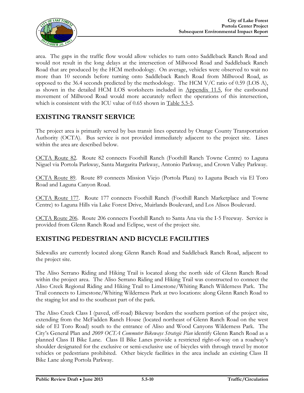

area. The gaps in the traffic flow would allow vehicles to turn onto Saddleback Ranch Road and would not result in the long delays at the intersection of Millwood Road and Saddleback Ranch Road that are produced by the HCM methodology. On average, vehicles were observed to wait no more than 10 seconds before turning onto Saddleback Ranch Road from Millwood Road, as opposed to the 36.4 seconds predicted by the methodology. The HCM V/C ratio of 0.59 (LOS A), as shown in the detailed HCM LOS worksheets included in Appendix 11.5, for the eastbound movement of Millwood Road would more accurately reflect the operations of this intersection, which is consistent with the ICU value of 0.65 shown in Table 5.5-5.

### **EXISTING TRANSIT SERVICE**

The project area is primarily served by bus transit lines operated by Orange County Transportation Authority (OCTA). Bus service is not provided immediately adjacent to the project site. Lines within the area are described below.

OCTA Route 82. Route 82 connects Foothill Ranch (Foothill Ranch Towne Centre) to Laguna Niguel via Portola Parkway, Santa Margarita Parkway, Antonio Parkway, and Crown Valley Parkway.

OCTA Route 89. Route 89 connects Mission Viejo (Portola Plaza) to Laguna Beach via El Toro Road and Laguna Canyon Road.

OCTA Route 177. Route 177 connects Foothill Ranch (Foothill Ranch Marketplace and Towne Centre) to Laguna Hills via Lake Forest Drive, Muirlands Boulevard, and Los Alisos Boulevard.

OCTA Route 206. Route 206 connects Foothill Ranch to Santa Ana via the I-5 Freeway. Service is provided from Glenn Ranch Road and Eclipse, west of the project site.

### **EXISTING PEDESTRIAN AND BICYCLE FACILITIES**

Sidewalks are currently located along Glenn Ranch Road and Saddleback Ranch Road, adjacent to the project site.

The Aliso Serrano Riding and Hiking Trail is located along the north side of Glenn Ranch Road within the project area. The Aliso Serrano Riding and Hiking Trail was constructed to connect the Aliso Creek Regional Riding and Hiking Trail to Limestone/Whiting Ranch Wilderness Park. The Trail connects to Limestone/Whiting Wilderness Park at two locations: along Glenn Ranch Road to the staging lot and to the southeast part of the park.

The Aliso Creek Class I (paved, off-road) Bikeway borders the southern portion of the project site, extending from the McFadden Ranch House (located northeast of Glenn Ranch Road on the west side of El Toro Road) south to the entrance of Aliso and Wood Canyons Wilderness Park. The City's General Plan and *2009 OCTA Commuter Bikeways Strategic Plan* identify Glenn Ranch Road as a planned Class II Bike Lane. Class II Bike Lanes provide a restricted right-of-way on a roadway's shoulder designated for the exclusive or semi-exclusive use of bicycles with through travel by motor vehicles or pedestrians prohibited. Other bicycle facilities in the area include an existing Class II Bike Lane along Portola Parkway.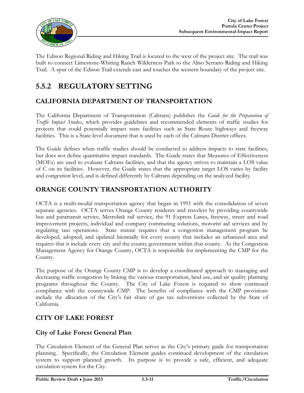

The Edison Regional Riding and Hiking Trail is located to the west of the project site. The trail was built to connect Limestone-Whiting Ranch Wilderness Park to the Aliso Serrano Riding and Hiking Trail. A spur of the Edison Trail extends east and touches the western boundary of the project site.

# **5.5.2 REGULATORY SETTING**

### **CALIFORNIA DEPARTMENT OF TRANSPORTATION**

The California Department of Transportation (Caltrans) publishes the *Guide for the Preparation of Traffic Impact Studies*, which provides guidelines and recommended elements of traffic studies for projects that could potentially impact state facilities such as State Route highways and freeway facilities. This is a State-level document that is used by each of the Caltrans District offices.

The Guide defines when traffic studies should be conducted to address impacts to state facilities, but does not define quantitative impact standards. The Guide states that Measures of Effectiveness (MOEs) are used to evaluate Caltrans facilities, and that the agency strives to maintain a LOS value of C on its facilities. However, the Guide states that the appropriate target LOS varies by facility and congestion level, and is defined differently by Caltrans depending on the analyzed facility.

### **ORANGE COUNTY TRANSPORTATION AUTHORITY**

OCTA is a multi-modal transportation agency that began in 1991 with the consolidation of seven separate agencies. OCTA serves Orange County residents and travelers by providing countywide bus and paratransit service, Metrolink rail service, the 91 Express Lanes, freeway, street and road improvement projects, individual and company commuting solutions, motorist aid services and by regulating taxi operations. State statute requires that a congestion management program be developed, adopted, and updated biennially for every county that includes an urbanized area and requires that it include every city and the county government within that county. As the Congestion Management Agency for Orange County, OCTA is responsible for implementing the CMP for the County.

The purpose of the Orange County CMP is to develop a coordinated approach to managing and decreasing traffic congestion by linking the various transportation, land use, and air quality planning programs throughout the County. The City of Lake Forest is required to show continued compliance with the countywide CMP. The benefits of compliance with the CMP provisions include the allocation of the City's fair share of gas tax subventions collected by the State of California.

### **CITY OF LAKE FOREST**

### **City of Lake Forest General Plan**

The Circulation Element of the General Plan serves as the City's primary guide for transportation planning. Specifically, the Circulation Element guides continued development of the circulation system to support planned growth. Its purpose is to provide a safe, efficient, and adequate circulation system for the City.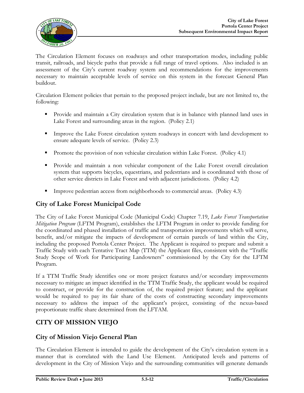

The Circulation Element focuses on roadways and other transportation modes, including public transit, railroads, and bicycle paths that provide a full range of travel options. Also included is an assessment of the City's current roadway system and recommendations for the improvements necessary to maintain acceptable levels of service on this system in the forecast General Plan buildout.

Circulation Element policies that pertain to the proposed project include, but are not limited to, the following:

- Provide and maintain a City circulation system that is in balance with planned land uses in Lake Forest and surrounding areas in the region. (Policy 2.1)
- **IMPROVE THE LAKE FOREST CIRCLE SYSTEM FOR THE INCOCONTRATE IN THE LAKE FOREST LAKE SYSTEM** In concert with land development to ensure adequate levels of service. (Policy 2.3)
- **Promote the provision of non vehicular circulation within Lake Forest.** (Policy 4.1)
- Provide and maintain a non vehicular component of the Lake Forest overall circulation system that supports bicycles, equestrians, and pedestrians and is coordinated with those of other service districts in Lake Forest and with adjacent jurisdictions. (Policy 4.2)
- Improve pedestrian access from neighborhoods to commercial areas. (Policy 4.3)

### **City of Lake Forest Municipal Code**

The City of Lake Forest Municipal Code (Municipal Code) Chapter 7.19, *Lake Forest Transportation Mitigation Program* (LFTM Program), establishes the LFTM Program in order to provide funding for the coordinated and phased installation of traffic and transportation improvements which will serve, benefit, and/or mitigate the impacts of development of certain parcels of land within the City, including the proposed Portola Center Project. The Applicant is required to prepare and submit a Traffic Study with each Tentative Tract Map (TTM) the Applicant files, consistent with the "Traffic Study Scope of Work for Participating Landowners" commissioned by the City for the LFTM Program.

If a TTM Traffic Study identifies one or more project features and/or secondary improvements necessary to mitigate an impact identified in the TTM Traffic Study, the applicant would be required to construct, or provide for the construction of, the required project feature; and the applicant would be required to pay its fair share of the costs of constructing secondary improvements necessary to address the impact of the applicant's project, consisting of the nexus-based proportionate traffic share determined from the LFTAM.

### **CITY OF MISSION VIEJO**

### **City of Mission Viejo General Plan**

The Circulation Element is intended to guide the development of the City's circulation system in a manner that is correlated with the Land Use Element. Anticipated levels and patterns of development in the City of Mission Viejo and the surrounding communities will generate demands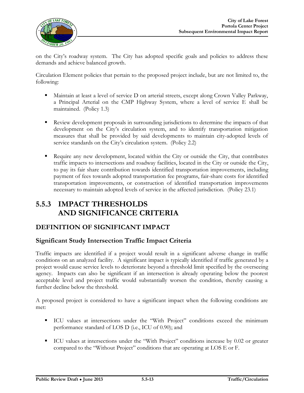

on the City's roadway system. The City has adopted specific goals and policies to address these demands and achieve balanced growth.

Circulation Element policies that pertain to the proposed project include, but are not limited to, the following:

- Maintain at least a level of service D on arterial streets, except along Crown Valley Parkway, a Principal Arterial on the CMP Highway System, where a level of service E shall be maintained. (Policy 1.3)
- Review development proposals in surrounding jurisdictions to determine the impacts of that development on the City's circulation system, and to identify transportation mitigation measures that shall be provided by said developments to maintain city-adopted levels of service standards on the City's circulation system. (Policy 2.2)
- Require any new development, located within the City or outside the City, that contributes traffic impacts to intersections and roadway facilities, located in the City or outside the City, to pay its fair share contribution towards identified transportation improvements, including payment of fees towards adopted transportation fee programs, fair-share costs for identified transportation improvements, or construction of identified transportation improvements necessary to maintain adopted levels of service in the affected jurisdiction. (Policy 23.1)

# **5.5.3 IMPACT THRESHOLDS AND SIGNIFICANCE CRITERIA**

### **DEFINITION OF SIGNIFICANT IMPACT**

### **Significant Study Intersection Traffic Impact Criteria**

Traffic impacts are identified if a project would result in a significant adverse change in traffic conditions on an analyzed facility. A significant impact is typically identified if traffic generated by a project would cause service levels to deteriorate beyond a threshold limit specified by the overseeing agency. Impacts can also be significant if an intersection is already operating below the poorest acceptable level and project traffic would substantially worsen the condition, thereby causing a further decline below the threshold.

A proposed project is considered to have a significant impact when the following conditions are met:

- ICU values at intersections under the "With Project" conditions exceed the minimum performance standard of LOS D (i.e., ICU of 0.90); and
- ICU values at intersections under the "With Project" conditions increase by 0.02 or greater compared to the "Without Project" conditions that are operating at LOS E or F.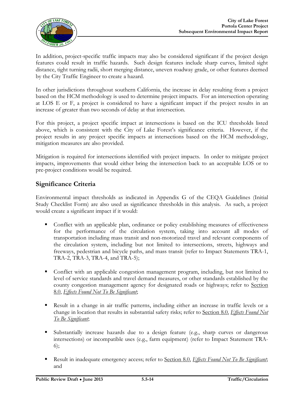

In addition, project-specific traffic impacts may also be considered significant if the project design features could result in traffic hazards. Such design features include sharp curves, limited sight distance, tight turning radii, short merging distance, uneven roadway grade, or other features deemed by the City Traffic Engineer to create a hazard.

In other jurisdictions throughout southern California, the increase in delay resulting from a project based on the HCM methodology is used to determine project impacts. For an intersection operating at LOS E or F, a project is considered to have a significant impact if the project results in an increase of greater than two seconds of delay at that intersection.

For this project, a project specific impact at intersections is based on the ICU thresholds listed above, which is consistent with the City of Lake Forest's significance criteria. However, if the project results in any project specific impacts at intersections based on the HCM methodology, mitigation measures are also provided.

Mitigation is required for intersections identified with project impacts. In order to mitigate project impacts, improvements that would either bring the intersection back to an acceptable LOS or to pre-project conditions would be required.

### **Significance Criteria**

Environmental impact thresholds as indicated in Appendix G of the CEQA Guidelines (Initial Study Checklist Form) are also used as significance thresholds in this analysis. As such, a project would create a significant impact if it would:

- Conflict with an applicable plan, ordinance or policy establishing measures of effectiveness for the performance of the circulation system, taking into account all modes of transportation including mass transit and non-motorized travel and relevant components of the circulation system, including but not limited to intersections, streets, highways and freeways, pedestrian and bicycle paths, and mass transit (refer to Impact Statements TRA-1, TRA-2, TRA-3, TRA-4, and TRA-5);
- Conflict with an applicable congestion management program, including, but not limited to level of service standards and travel demand measures, or other standards established by the county congestion management agency for designated roads or highways; refer to Section 8.0, *Effects Found Not To Be Significant*;
- Result in a change in air traffic patterns, including either an increase in traffic levels or a change in location that results in substantial safety risks; refer to Section 8.0, *Effects Found Not To Be Significant*;
- Substantially increase hazards due to a design feature (e.g., sharp curves or dangerous intersections) or incompatible uses (e.g., farm equipment) (refer to Impact Statement TRA-6);
- Result in inadequate emergency access; refer to Section 8.0, *Effects Found Not To Be Significant*; and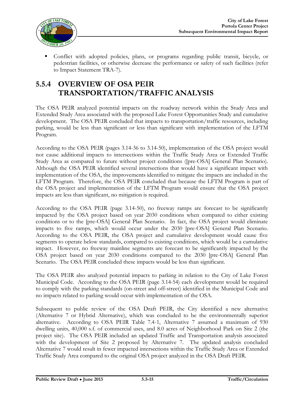Conflict with adopted policies, plans, or programs regarding public transit, bicycle, or pedestrian facilities, or otherwise decrease the performance or safety of such facilities (refer to Impact Statement TRA-7).

# **5.5.4 OVERVIEW OF OSA PEIR TRANSPORTATION/TRAFFIC ANALYSIS**

The OSA PEIR analyzed potential impacts on the roadway network within the Study Area and Extended Study Area associated with the proposed Lake Forest Opportunities Study and cumulative development. The OSA PEIR concluded that impacts to transportation/traffic resources, including parking, would be less than significant or less than significant with implementation of the LFTM Program.

According to the OSA PEIR (pages 3.14-36 to 3.14-50), implementation of the OSA project would not cause additional impacts to intersections within the Traffic Study Area or Extended Traffic Study Area as compared to future without project conditions ([pre-OSA] General Plan Scenario). Although the OSA PEIR identified several intersections that would have a significant impact with implementation of the OSA, the improvements identified to mitigate the impacts are included in the LFTM Program. Therefore, the OSA PEIR concluded that because the LFTM Program is part of the OSA project and implementation of the LFTM Program would ensure that the OSA project impacts are less than significant, no mitigation is required.

According to the OSA PEIR (page 3.14-50), no freeway ramps are forecast to be significantly impacted by the OSA project based on year 2030 conditions when compared to either existing conditions or to the [pre-OSA] General Plan Scenario. In fact, the OSA project would eliminate impacts to five ramps, which would occur under the 2030 [pre-OSA] General Plan Scenario. According to the OSA PEIR, the OSA project and cumulative development would cause five segments to operate below standards, compared to existing conditions, which would be a cumulative impact. However, no freeway mainline segments are forecast to be significantly impacted by the OSA project based on year 2030 conditions compared to the 2030 [pre-OSA] General Plan Scenario. The OSA PEIR concluded these impacts would be less than significant.

The OSA PEIR also analyzed potential impacts to parking in relation to the City of Lake Forest Municipal Code. According to the OSA PEIR (page 3.14-54) each development would be required to comply with the parking standards (on-street and off-street) identified in the Municipal Code and no impacts related to parking would occur with implementation of the OSA.

Subsequent to public review of the OSA Draft PEIR, the City identified a new alternative (Alternative 7 or Hybrid Alternative), which was concluded to be the environmentally superior alternative. According to OSA PEIR Table 7.4-1, Alternative 7 assumed a maximum of 930 dwelling units, 40,000 s.f. of commercial uses, and 8.0 acres of Neighborhood Park on Site 2 (the project site). The OSA PEIR included an updated Traffic and Transportation analysis associated with the development of Site 2 proposed by Alternative 7. The updated analysis concluded Alternative 7 would result in fewer impacted intersections within the Traffic Study Area or Extended Traffic Study Area compared to the original OSA project analyzed in the OSA Draft PEIR.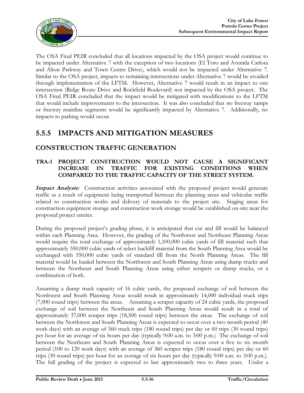

The OSA Final PEIR concluded that all locations impacted by the OSA project would continue to be impacted under Alternative 7 with the exception of two locations (El Toro and Avenida Carlota and Alton Parkway and Town Centre Drive), which would not be impacted under Alternative 7. Similar to the OSA project, impacts to remaining intersections under Alternative 7 would be avoided through implementation of the LFTM. However, Alternative 7 would result in an impact to one intersection (Ridge Route Drive and Rockfield Boulevard) not impacted by the OSA project. The OSA Final PEIR concluded that the impact would be mitigated with modifications to the LFTM that would include improvements to the intersection. It was also concluded that no freeway ramps or freeway mainline segments would be significantly impacted by Alternative 7. Additionally, no impacts to parking would occur.

# **5.5.5 IMPACTS AND MITIGATION MEASURES**

### **CONSTRUCTION TRAFFIC GENERATION**

#### **TRA-1 PROJECT CONSTRUCTION WOULD NOT CAUSE A SIGNIFICANT INCREASE IN TRAFFIC FOR EXISTING CONDITIONS WHEN COMPARED TO THE TRAFFIC CAPACITY OF THE STREET SYSTEM.**

Impact Analysis: Construction activities associated with the proposed project would generate traffic as a result of equipment being transported between the planning areas and vehicular traffic related to construction works and delivery of materials to the project site. Staging areas for construction equipment storage and construction work storage would be established on-site near the proposed project entries.

During the proposed project's grading phase, it is anticipated that cut and fill would be balanced within each Planning Area. However, the grading of the Northwest and Northeast Planning Areas would require the total exchange of approximately 1,100,000 cubic yards of fill material such that approximately 550,000 cubic yards of select backfill material from the South Planning Area would be exchanged with 550,000 cubic yards of standard fill from the North Planning Areas. The fill material would be hauled between the Northwest and South Planning Areas using dump trucks and between the Northeast and South Planning Areas using either scrapers or dump trucks, or a combination of both.

Assuming a dump truck capacity of 16 cubic yards, the proposed exchange of soil between the Northwest and South Planning Areas would result in approximately 14,000 individual truck trips (7,000 round trips) between the areas. Assuming a scraper capacity of 24 cubic yards, the proposed exchange of soil between the Northeast and South Planning Areas would result in a total of approximately 37,000 scraper trips (18,500 round trips) between the areas. The exchange of soil between the Northwest and South Planning Areas is expected to occur over a two month period (40 work days) with an average of 360 truck trips (180 round trips) per day or 60 trips (30 round trips) per hour for an average of six hours per day (typically 9:00 a.m. to 3:00 p.m.) The exchange of soil between the Northeast and South Planning Areas is expected to occur over a five to six month period (100 to 120 work days) with an average of 360 scraper trips (180 round trips) per day or 60 trips (30 round trips) per hour for an average of six hours per day (typically 9:00 a.m. to 3:00 p.m.). The full grading of the project is expected to last approximately two to three years. Under a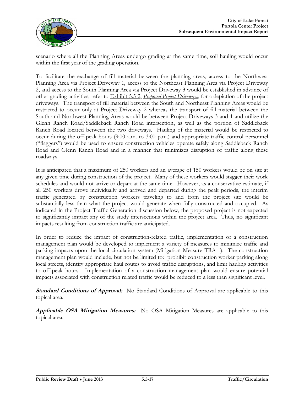

scenario where all the Planning Areas undergo grading at the same time, soil hauling would occur within the first year of the grading operation.

To facilitate the exchange of fill material between the planning areas, access to the Northwest Planning Area via Project Driveway 1, access to the Northeast Planning Area via Project Driveway 2, and access to the South Planning Area via Project Driveway 3 would be established in advance of other grading activities; refer to Exhibit 5.5-2, *Proposed Project Driveways*, for a depiction of the project driveways. The transport of fill material between the South and Northeast Planning Areas would be restricted to occur only at Project Driveway 2 whereas the transport of fill material between the South and Northwest Planning Areas would be between Project Driveways 3 and 1 and utilize the Glenn Ranch Road/Saddleback Ranch Road intersection, as well as the portion of Saddleback Ranch Road located between the two driveways. Hauling of the material would be restricted to occur during the off-peak hours (9:00 a.m. to 3:00 p.m.) and appropriate traffic control personnel ("flaggers") would be used to ensure construction vehicles operate safely along Saddleback Ranch Road and Glenn Ranch Road and in a manner that minimizes disruption of traffic along these roadways.

It is anticipated that a maximum of 250 workers and an average of 150 workers would be on site at any given time during construction of the project. Many of these workers would stagger their work schedules and would not arrive or depart at the same time. However, as a conservative estimate, if all 250 workers drove individually and arrived and departed during the peak periods, the interim traffic generated by construction workers traveling to and from the project site would be substantially less than what the project would generate when fully constructed and occupied. As indicated in the Project Traffic Generation discussion below, the proposed project is not expected to significantly impact any of the study intersections within the project area. Thus, no significant impacts resulting from construction traffic are anticipated.

In order to reduce the impact of construction-related traffic, implementation of a construction management plan would be developed to implement a variety of measures to minimize traffic and parking impacts upon the local circulation system (Mitigation Measure TRA-1). The construction management plan would include, but not be limited to: prohibit construction worker parking along local streets, identify appropriate haul routes to avoid traffic disruptions, and limit hauling activities to off-peak hours. Implementation of a construction management plan would ensure potential impacts associated with construction related traffic would be reduced to a less than significant level.

**Standard Conditions of Approval:** No Standard Conditions of Approval are applicable to this topical area.

**Applicable OSA Mitigation Measures:** No OSA Mitigation Measures are applicable to this topical area.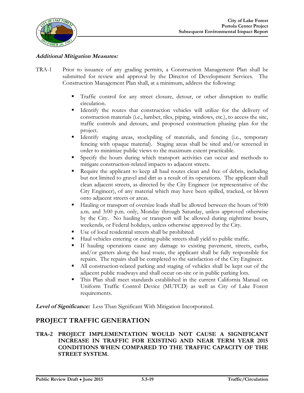

#### **Additional Mitigation Measures:**

- TRA-1 Prior to issuance of any grading permits, a Construction Management Plan shall be submitted for review and approval by the Director of Development Services. The Construction Management Plan shall, at a minimum, address the following:
	- Traffic control for any street closure, detour, or other disruption to traffic circulation.
	- Identify the routes that construction vehicles will utilize for the delivery of construction materials (i.e., lumber, tiles, piping, windows, etc.), to access the site, traffic controls and detours, and proposed construction phasing plan for the project.
	- Identify staging areas, stockpiling of materials, and fencing (i.e., temporary fencing with opaque material). Staging areas shall be sited and/or screened in order to minimize public views to the maximum extent practicable.
	- Specify the hours during which transport activities can occur and methods to mitigate construction-related impacts to adjacent streets.
	- Require the applicant to keep all haul routes clean and free of debris, including but not limited to gravel and dirt as a result of its operations. The applicant shall clean adjacent streets, as directed by the City Engineer (or representative of the City Engineer), of any material which may have been spilled, tracked, or blown onto adjacent streets or areas.
	- Hauling or transport of oversize loads shall be allowed between the hours of 9:00 a.m. and 3:00 p.m. only, Monday through Saturday, unless approved otherwise by the City. No hauling or transport will be allowed during nighttime hours, weekends, or Federal holidays, unless otherwise approved by the City.
	- Use of local residential streets shall be prohibited.
	- Haul vehicles entering or exiting public streets shall yield to public traffic.
	- If hauling operations cause any damage to existing pavement, streets, curbs, and/or gutters along the haul route, the applicant shall be fully responsible for repairs. The repairs shall be completed to the satisfaction of the City Engineer.
	- All construction-related parking and staging of vehicles shall be kept out of the adjacent public roadways and shall occur on-site or in public parking lots.
	- This Plan shall meet standards established in the current California Manual on Uniform Traffic Control Device (MUTCD) as well as City of Lake Forest requirements.

**Level of Significance:** Less Than Significant With Mitigation Incorporated.

#### **PROJECT TRAFFIC GENERATION**

#### **TRA-2 PROJECT IMPLEMENTATION WOULD NOT CAUSE A SIGNIFICANT INCREASE IN TRAFFIC FOR EXISTING AND NEAR TERM YEAR 2015 CONDITIONS WHEN COMPARED TO THE TRAFFIC CAPACITY OF THE STREET SYSTEM.**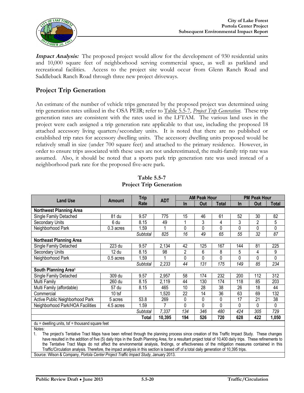

**Impact Analysis:** The proposed project would allow for the development of 930 residential units and 10,000 square feet of neighborhood serving commercial space, as well as parkland and recreational facilities. Access to the project site would occur from Glenn Ranch Road and Saddleback Ranch Road through three new project driveways.

### **Project Trip Generation**

An estimate of the number of vehicle trips generated by the proposed project was determined using trip generation rates utilized in the OSA PEIR; refer to Table 5.5-7, *Project Trip Generation*. These trip generation rates are consistent with the rates used in the LFTAM. The various land uses in the project were each assigned a trip generation rate applicable to that use, including the proposed 18 attached accessory living quarters/secondary units. It is noted that there are no published or established trip rates for accessory dwelling units. The accessory dwelling units proposed would be relatively small in size (under 700 square feet) and attached to the primary residence. However, in order to ensure trips associated with these uses are not underestimated, the multi-family trip rate was assumed. Also, it should be noted that a sports park trip generation rate was used instead of a neighborhood park rate for the proposed five-acre park.

|                                                                                                                                                    |               | <b>Trip</b> |            | <b>AM Peak Hour</b> |                | <b>PM Peak Hour</b> |          |          |                 |
|----------------------------------------------------------------------------------------------------------------------------------------------------|---------------|-------------|------------|---------------------|----------------|---------------------|----------|----------|-----------------|
| <b>Land Use</b>                                                                                                                                    | <b>Amount</b> | Rate        | <b>ADT</b> | <b>In</b>           | Out            | Total               | $\ln$    | Out      | Total           |
| <b>Northwest Planning Area</b>                                                                                                                     |               |             |            |                     |                |                     |          |          |                 |
| Single Family Detached                                                                                                                             | 81 du         | 9.57        | 775        | 15                  | 46             | 61                  | 52       | 30       | 82              |
| Secondary Units                                                                                                                                    | 6 du          | 8.15        | 49         |                     | $\overline{3}$ | 4                   | 3        | 2        | 5               |
| Neighborhood Park                                                                                                                                  | 0.3 acres     | 1.59        |            | 0                   | 0              | 0                   | 0        | 0        | 0               |
|                                                                                                                                                    |               | Subtotal    | 825        | 16                  | 49             | 65                  | 55       | 32       | $\overline{87}$ |
| <b>Northeast Planning Area</b>                                                                                                                     |               |             |            |                     |                |                     |          |          |                 |
| Single Family Detached                                                                                                                             | 223 du        | 9.57        | 2,134      | 42                  | 125            | 167                 | 144      | 81       | 225             |
| <b>Secondary Units</b>                                                                                                                             | 12 du         | 8.15        | 98         | $\overline{2}$      | 6              | 8                   | 5        | 4        | 9               |
| Neighborhood Park                                                                                                                                  | 0.5 acres     | 1.59        |            | 0                   | 0              | 0                   | 0        | 0        | $\Omega$        |
|                                                                                                                                                    |               | Subtotal    | 2,233      | 44                  | 131            | 175                 | 149      | 85       | 234             |
| South Planning Area <sup>1</sup>                                                                                                                   |               |             |            |                     |                |                     |          |          |                 |
| Single Family Detached                                                                                                                             | 309 du        | 9.57        | 2,957      | 58                  | 174            | 232                 | 200      | 112      | 312             |
| Multi Family                                                                                                                                       | 260 du        | 8.15        | 2,119      | 44                  | 130            | 174                 | 118      | 85       | 203             |
| Multi Family (affordable)                                                                                                                          | 57 du         | 8.15        | 465        | 10                  | 28             | 38                  | 26       | 18       | 44              |
| Commercial                                                                                                                                         | $10$ tsf      |             | ,520       | 22                  | 14             | 36                  | 63       | 69       | 132             |
| Active Public Neighborhood Park                                                                                                                    | 5 acres       | 53.8        | 269        | 0                   | 0              | 0                   | 17       | 21       | 38              |
| Neighborhood Park/HOA Facilities                                                                                                                   | 4.5 acres     | 1.59        | 7          | 0                   | 0              | 0                   | $\Omega$ | $\Omega$ | $\Omega$        |
|                                                                                                                                                    |               | Subtotal    | 7,337      | 134                 | 346            | 480                 | 424      | 305      | 729             |
| 194<br>720<br>10,395<br>526<br>628<br>422<br>1,050<br>Total                                                                                        |               |             |            |                     |                |                     |          |          |                 |
| $du =$ dwelling units, tsf = thousand square feet                                                                                                  |               |             |            |                     |                |                     |          |          |                 |
| Notes:                                                                                                                                             |               |             |            |                     |                |                     |          |          |                 |
| The project's Tentative Tract Maps have been refined through the planning process since creation of this Traffic Impact Study. These changes<br>1. |               |             |            |                     |                |                     |          |          |                 |

**Table 5.5-7 Project Trip Generation**

1. The project's Tentative Tract Maps have been refined through the planning process since creation of this Traffic Impact Study. These changes have resulted in the addition of five (5) daily trips in the South Planning Area, for a resultant project total of 10,400 daily trips. These refinements to the Tentative Tract Maps do not affect the environmental analysis, findings, or effectiveness of the mitigation measures contained in this Traffic/Circulation analysis. Therefore, the impact analysis in this section is based off of a total daily generation of 10,395 trips.

Source: Wilson & Company, *Portola Center Project Traffic Impact Study*, January 2013.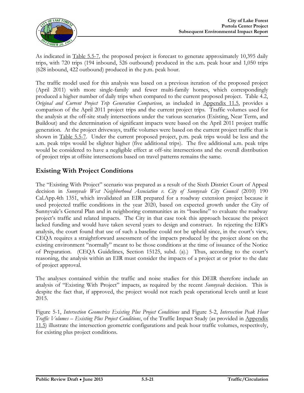

As indicated in Table 5.5-7, the proposed project is forecast to generate approximately 10,395 daily trips, with 720 trips (194 inbound, 526 outbound) produced in the a.m. peak hour and 1,050 trips (628 inbound, 422 outbound) produced in the p.m. peak hour.

The traffic model used for this analysis was based on a previous iteration of the proposed project (April 2011) with more single-family and fewer multi-family homes, which correspondingly produced a higher number of daily trips when compared to the current proposed project. Table 4.2, *Original and Current Project Trip Generation Comparison*, as included in Appendix 11.5, provides a comparison of the April 2011 project trips and the current project trips. Traffic volumes used for the analysis at the off-site study intersections under the various scenarios (Existing, Near Term, and Buildout) and the determination of significant impacts were based on the April 2011 project traffic generation. At the project driveways, traffic volumes were based on the current project traffic that is shown in Table 5.5-7. Under the current proposed project, p.m. peak trips would be less and the a.m. peak trips would be slighter higher (five additional trips). The five additional a.m. peak trips would be considered to have a negligible effect at off-site intersections and the overall distribution of project trips at offsite intersections based on travel patterns remains the same.

### **Existing With Project Conditions**

The "Existing With Project" scenario was prepared as a result of the Sixth District Court of Appeal decision in *Sunnyvale West Neighborhood Association v. City of Sunnyvale City Council* (2010) 190 Cal.App.4th 1351, which invalidated an EIR prepared for a roadway extension project because it used projected traffic conditions in the year 2020, based on expected growth under the City of Sunnyvale's General Plan and in neighboring communities as its "baseline" to evaluate the roadway project's traffic and related impacts. The City in that case took this approach because the project lacked funding and would have taken several years to design and construct. In rejecting the EIR's analysis, the court found that use of such a baseline could not be upheld since, in the court's view, CEQA requires a straightforward assessment of the impacts produced by the project alone on the existing environment "normally" meant to be those conditions at the time of issuance of the Notice of Preparation. (CEQA Guidelines, Section 15125, subd. (a).) Thus, according to the court's reasoning, the analysis within an EIR must consider the impacts of a project at or prior to the date of project approval.

The analyses contained within the traffic and noise studies for this DEIR therefore include an analysis of "Existing With Project" impacts, as required by the recent *Sunnyvale* decision. This is despite the fact that, if approved, the project would not reach peak operational levels until at least 2015.

Figure 5-1, *Intersection Geometrics Existing Plus Project Conditions* and Figure 5-2, *Intersection Peak Hour Traffic Volumes – Existing Plus Project Conditions*, of the Traffic Impact Study (as provided in Appendix 11.5) illustrate the intersection geometric configurations and peak hour traffic volumes, respectively, for existing plus project conditions.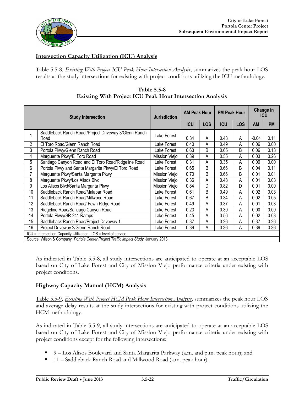

#### **Intersection Capacity Utilization (ICU) Analysis**

Table 5.5-8, *Existing With Project ICU Peak Hour Intersection Analysis*, summarizes the peak hour LOS results at the study intersections for existing with project conditions utilizing the ICU methodology.

|    | <b>Study Intersection</b>                                                            |               | <b>AM Peak Hour</b> |            | <b>PM Peak Hour</b> |            | Change in<br><b>ICU</b> |           |
|----|--------------------------------------------------------------------------------------|---------------|---------------------|------------|---------------------|------------|-------------------------|-----------|
|    |                                                                                      |               | <b>ICU</b>          | <b>LOS</b> | <b>ICU</b>          | <b>LOS</b> | <b>AM</b>               | <b>PM</b> |
|    | Saddleback Ranch Road / Project Driveway 3/Glenn Ranch<br>Road                       | Lake Forest   | 0.34                | Α          | 0.43                | A          | $-0.04$                 | 0.11      |
| 2  | El Toro Road/Glenn Ranch Road                                                        | Lake Forest   | 0.40                | Α          | 0.49                | А          | 0.06                    | 0.00      |
| 3  | Portola Pkwy/Glenn Ranch Road                                                        | Lake Forest   | 0.63                | B          | 0.65                | B          | 0.06                    | 0.13      |
| 4  | Marguerite Pkwy/El Toro Road                                                         | Mission Viejo | 0.39                | Α          | 0.55                | Α          | 0.03                    | 0.26      |
| 5  | Santiago Canyon Road and El Toro Road/Ridgeline Road                                 | Lake Forest   | 0.31                | А          | 0.35                | Α          | 0.00                    | 0.00      |
| 6  | Portola Pkwy and Santa Margarita Pkwy/El Toro Road                                   | Lake Forest   | 0.65                | B          | 0.66                | B          | 0.04                    | 0.11      |
|    | Marguerite Pkwy/Santa Margarita Pkwy                                                 | Mission Viejo | 0.70                | B          | 0.66                | B          | 0.01                    | 0.01      |
| 8  | Marguerite Pkwy/Los Alisos Blvd                                                      | Mission Viejo | 0.36                | Α          | 0.48                | A          | 0.01                    | 0.03      |
| 9  | Los Alisos Blvd/Santa Margarita Pkwy                                                 | Mission Viejo | 0.84                | D          | 0.82                | D          | 0.01                    | 0.00      |
| 10 | Saddleback Ranch Road/Malabar Road                                                   | Lake Forest   | 0.61                | B          | 0.49                | А          | 0.02                    | 0.03      |
| 11 | Saddleback Ranch Road/Millwood Road                                                  | Lake Forest   | 0.67                | B          | 0.34                | Α          | 0.02                    | 0.05      |
| 12 | Saddleback Ranch Road/ Fawn Ridge Road                                               | Lake Forest   | 0.49                | Α          | 0.37                | Α          | 0.01                    | 0.03      |
| 13 | Ridgeline Road/Santiago Canyon Road                                                  | Lake Forest   | 0.23                | Α          | 0.30                | Α          | 0.00                    | 0.00      |
| 14 | Portola Pkwy/SR-241 Ramps                                                            | Lake Forest   | 0.45                | А          | 0.56                | А          | 0.02                    | 0.03      |
| 15 | Saddleback Ranch Road/Project Driveway 1                                             | Lake Forest   | 0.37                | A          | 0.26                | Α          | 0.37                    | 0.26      |
| 16 | Project Driveway 2/Glenn Ranch Road                                                  | Lake Forest   | 0.39                | Α          | 0.36                | Α          | 0.39                    | 0.36      |
|    | ICU = Intersection Capacity Utilization; LOS = level of service.                     |               |                     |            |                     |            |                         |           |
|    | Source: Wilson & Company, Portola Center Project Traffic Impact Study, January 2013. |               |                     |            |                     |            |                         |           |

**Table 5.5-8 Existing With Project ICU Peak Hour Intersection Analysis**

As indicated in Table 5.5-8, all study intersections are anticipated to operate at an acceptable LOS based on City of Lake Forest and City of Mission Viejo performance criteria under existing with project conditions.

#### **Highway Capacity Manual (HCM) Analysis**

Table 5.5-9, *Existing With Project HCM Peak Hour Intersection Analysis*, summarizes the peak hour LOS and average delay results at the study intersections for existing with project conditions utilizing the HCM methodology.

As indicated in Table 5.5-9, all study intersections are anticipated to operate at an acceptable LOS based on City of Lake Forest and City of Mission Viejo performance criteria under existing with project conditions except for the following intersections:

- 9 Los Alisos Boulevard and Santa Margarita Parkway (a.m. and p.m. peak hour); and
- 11 Saddleback Ranch Road and Millwood Road (a.m. peak hour).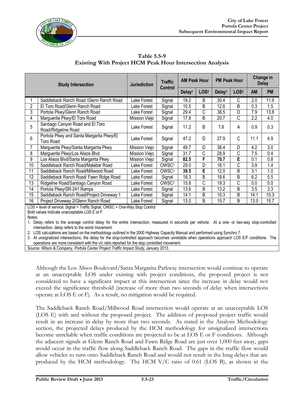



**Table 5.5-9 Existing With Project HCM Peak Hour Intersection Analysis**

| <b>Study Intersection</b> |                                                                                                                              | <b>Traffic</b><br><b>Jurisdiction</b><br><b>Control</b> |                   | <b>AM Peak Hour</b> |                  | <b>PM Peak Hour</b> |                  | Change in<br><b>Delay</b> |           |
|---------------------------|------------------------------------------------------------------------------------------------------------------------------|---------------------------------------------------------|-------------------|---------------------|------------------|---------------------|------------------|---------------------------|-----------|
|                           |                                                                                                                              |                                                         |                   | Delay <sup>1</sup>  | LOS <sup>2</sup> | Delay <sup>1</sup>  | LOS <sup>2</sup> | AM                        | <b>PM</b> |
|                           | Saddleback Ranch Road / Glenn Ranch Road                                                                                     | Lake Forest                                             | Signal            | 19.2                | B                | 30.4                | C                | 2.0                       | 11.9      |
| 2                         | El Toro Road/Glenn Ranch Road                                                                                                | Lake Forest                                             | Signal            | 10.5                | B                | 12.6                | B                | 0.3                       | 1.5       |
| 3                         | Portola Pkwy/Glenn Ranch Road                                                                                                | Lake Forest                                             | Signal            | 29.4                | С                | 38.5                | D                | 7.9                       | 13.8      |
| 4                         | Marguerite Pkwy/El Toro Road                                                                                                 | Mission Viejo                                           | Signal            | 17.8                | B                | 20.7                | C                | 2.2                       | 4.0       |
| 5                         | Santiago Canyon Road and El Toro<br>Road/Ridgeline Road                                                                      | Lake Forest                                             | Signal            | 11.2                | B                | 7.8                 | A                | 0.9                       | 0.3       |
| 6                         | Portola Pkwy and Santa Margarita Pkwy/El<br>Toro Road                                                                        | Lake Forest                                             | Signal            | 47.2                | D                | 27.9                | C                | 11.1                      | 4.9       |
| 7                         | Marguerite Pkwy/Santa Margarita Pkwy                                                                                         | Mission Viejo                                           | Signal            | 49.7                | D                | 38.4                | D                | 4.2                       | 3.0       |
| 8                         | Marguerite Pkwy/Los Alisos Blvd                                                                                              | Mission Viejo                                           | Signal            | 31.7                | С                | 28.9                | C                | 7.5                       | 0.4       |
| 9                         | Los Alisos Blvd/Santa Margarita Pkwy                                                                                         | Mission Viejo                                           | Signal            | 82.5                | F                | 70.7                | E                | 0.1                       | 0.8       |
| 10                        | Saddleback Ranch Road/Malabar Road                                                                                           | Lake Forest                                             | OWSC <sup>3</sup> | 29.0                | D                | 16.1                | С                | 3.9                       | 1.4       |
| 11                        | Saddleback Ranch Road/Millwood Road                                                                                          | Lake Forest                                             | OWSC <sup>3</sup> | 39.5                | E                | 12.0                | B                | 3.1                       | 1.0       |
| 12                        | Saddleback Ranch Road/ Fawn Ridge Road                                                                                       | Lake Forest                                             | Signal            | 18.3                | B                | 18.6                | B                | 6.2                       | 5.5       |
| 13                        | Ridgeline Road/Santiago Canyon Road                                                                                          | Lake Forest                                             | OWSC <sup>3</sup> | 15.8                | С                | 19.3                | С                | 0.0                       | 0.0       |
| 14                        | Portola Pkwy/SR-241 Ramps                                                                                                    | Lake Forest                                             | Signal            | 13.6                | B                | 13.2                | B                | 3.5                       | 3.3       |
| 15                        | Saddleback Ranch Road/Project Driveway 1                                                                                     | Lake Forest                                             | Signal            | 14.1                | B                | 10.3                | B                | 14.1                      | 10.3      |
| 16                        | Project Driveway 2/Glenn Ranch Road                                                                                          | Lake Forest                                             | Signal            | 13.0                | B                | 15.7                | В                | 13.0                      | 15.7      |
|                           | LOS = level of service; Signal = Traffic Signal; OWSC = One-Way Stop Control<br>Bold values indicate unacceptable LOS E or F |                                                         |                   |                     |                  |                     |                  |                           |           |

Notes:

1. Delay refers to the average control delay for the entire intersection, measured in seconds per vehicle. At a one- or two-way stop-controlled intersection, delay refers to the worst movement.

2. LOS calculations are based on the methodology outlined in the 2000 Highway Capacity Manual and performed using Synchro 7.

3. At unsignalized intersections, the delay for the stop-controlled approach becomes unreliable when operations approach LOS E/F conditions. The operations are more consistent with the v/c ratio reported for the stop controlled movement.

Source: Wilson & Company, *Portola Center Project Traffic Impact Study*, January 2013.

Although the Los Alisos Boulevard/Santa Margarita Parkway intersection would continue to operate at an unacceptable LOS under existing with project conditions, the proposed project is not considered to have a significant impact at this intersection since the increase in delay would not exceed the significance threshold (increase of more than two seconds of delay when intersections operate at LOS E or F). As a result, no mitigation would be required.

The Saddleback Ranch Road/Millwood Road intersection would operate at an unacceptable LOS (LOS E) with and without the proposed project. The addition of proposed project traffic would result in an increase in delay by more than two seconds. As stated in the Analysis Methodology section, the projected delays produced by the HCM methodology for unsignalized intersections become unreliable when traffic conditions are projected to be at LOS E or F conditions. Although the adjacent signals at Glenn Ranch Road and Fawn Ridge Road are just over 1,000 feet away, gaps would occur in the traffic flow along Saddleback Ranch Road. The gaps in the traffic flow would allow vehicles to turn onto Saddleback Ranch Road and would not result in the long delays that are produced by the HCM methodology. The HCM V/C ratio of 0.61 (LOS B), as shown in the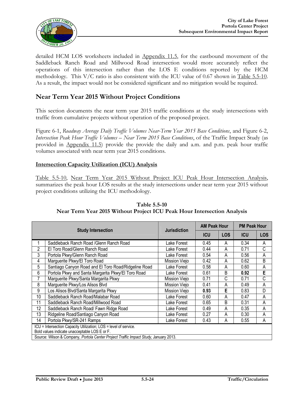

detailed HCM LOS worksheets included in Appendix 11.5, for the eastbound movement of the Saddleback Ranch Road and Millwood Road intersection would more accurately reflect the operations of this intersection rather than the LOS E conditions reported by the HCM methodology. This V/C ratio is also consistent with the ICU value of 0.67 shown in Table 5.5-10. As a result, the impact would not be considered significant and no mitigation would be required.

#### **Near Term Year 2015 Without Project Conditions**

This section documents the near term year 2015 traffic conditions at the study intersections with traffic from cumulative projects without operation of the proposed project.

Figure 6-1, *Roadway Average Daily Traffic Volumes Near-Term Year 2015 Base Conditions*, and Figure 6-2, *Intersection Peak Hour Traffic Volumes – Near Term 2015 Base Conditions*, of the Traffic Impact Study (as provided in Appendix 11.5) provide the provide the daily and a.m. and p.m. peak hour traffic volumes associated with near term year 2015 conditions.

#### **Intersection Capacity Utilization (ICU) Analysis**

Table 5.5-10, Near Term Year 2015 Without Project ICU Peak Hour Intersection Analysis, summarizes the peak hour LOS results at the study intersections under near term year 2015 without project conditions utilizing the ICU methodology.

|                                                         |                                                                                                                   | <b>Jurisdiction</b> | <b>AM Peak Hour</b> |            | <b>PM Peak Hour</b> |            |
|---------------------------------------------------------|-------------------------------------------------------------------------------------------------------------------|---------------------|---------------------|------------|---------------------|------------|
|                                                         | <b>Study Intersection</b>                                                                                         |                     | <b>ICU</b>          | <b>LOS</b> | <b>ICU</b>          | <b>LOS</b> |
|                                                         | Saddleback Ranch Road / Glenn Ranch Road                                                                          | Lake Forest         | 0.45                | A          | 0.34                | A          |
| 2                                                       | El Toro Road/Glenn Ranch Road                                                                                     | Lake Forest         | 0.44                | Α          | 0.71                | C          |
| 3                                                       | Portola Pkwy/Glenn Ranch Road                                                                                     | Lake Forest         | 0.54                | A          | 0.56                | A          |
| 4                                                       | Marguerite Pkwy/El Toro Road                                                                                      | Mission Viejo       | 0.42                | Α          | 0.62                | B          |
| 5                                                       | Santiago Canyon Road and El Toro Road/Ridgeline Road                                                              | Lake Forest         | 0.58                | Α          | 0.60                | A          |
| 6<br>Portola Pkwy and Santa Margarita Pkwy/El Toro Road |                                                                                                                   | Lake Forest         | 0.61                | B          | 0.92                | E          |
| 7                                                       | Marguerite Pkwy/Santa Margarita Pkwy                                                                              | Mission Viejo       | 0.71                | С          | 0.71                | C          |
| 8                                                       | Marguerite Pkwy/Los Alisos Blvd                                                                                   | Mission Viejo       | 0.41                | A          | 0.49                | A          |
| 9                                                       | Los Alisos Blvd/Santa Margarita Pkwy                                                                              | Mission Viejo       | 0.93                | E          | 0.83                | D          |
| 10                                                      | Saddleback Ranch Road/Malabar Road                                                                                | Lake Forest         | 0.60                | A          | 0.47                | A          |
| 11                                                      | Saddleback Ranch Road/Millwood Road                                                                               | Lake Forest         | 0.65                | B          | 0.31                | A          |
| 12                                                      | Saddleback Ranch Road/ Fawn Ridge Road                                                                            | Lake Forest         | 0.49                | Α          | 0.35                | А          |
| 13                                                      | Ridgeline Road/Santiago Canyon Road                                                                               | Lake Forest         | 0.27                | Α          | 0.30                | А          |
| 14                                                      | Portola Pkwy/SR-241 Ramps                                                                                         | Lake Forest         | 0.43                | A          | 0.55                | A          |
|                                                         | ICU = Intersection Capacity Utilization; LOS = level of service.<br>Bold values indicate unacceptable LOS E or F. |                     |                     |            |                     |            |
|                                                         | Source: Wilson & Company, Portola Center Project Traffic Impact Study, January 2013.                              |                     |                     |            |                     |            |

**Table 5.5-10 Near Term Year 2015 Without Project ICU Peak Hour Intersection Analysis**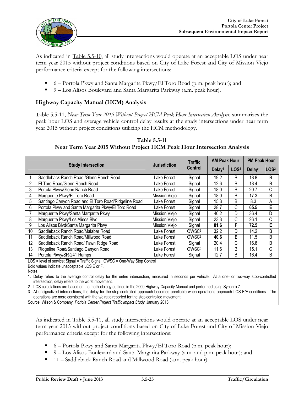

As indicated in Table 5.5-10, all study intersections would operate at an acceptable LOS under near term year 2015 without project conditions based on City of Lake Forest and City of Mission Viejo performance criteria except for the following intersections:

- $\bullet$  6 Portola Pkwy and Santa Margarita Pkwy/El Toro Road (p.m. peak hour); and
- 9 Los Alisos Boulevard and Santa Margarita Parkway (a.m. peak hour).

#### **Highway Capacity Manual (HCM) Analysis**

Table 5.5-11, *Near Term Year 2015 Without Project HCM Peak Hour Intersection Analysis*, summarizes the peak hour LOS and average vehicle control delay results at the study intersections under near term year 2015 without project conditions utilizing the HCM methodology.

**Table 5.5-11 Near Term Year 2015 Without Project HCM Peak Hour Intersection Analysis**

|    | <b>Study Intersection</b>                            |                     | <b>Traffic</b>    | <b>AM Peak Hour</b> |                  | <b>PM Peak Hour</b> |                  |
|----|------------------------------------------------------|---------------------|-------------------|---------------------|------------------|---------------------|------------------|
|    |                                                      | <b>Jurisdiction</b> | Control           | Delay <sup>1</sup>  | LOS <sup>2</sup> | Delay <sup>1</sup>  | LOS <sup>2</sup> |
|    | Saddleback Ranch Road / Glenn Ranch Road             | Lake Forest         | Signal            | 19.2                | B                | 18.8                | В                |
| 2  | El Toro Road/Glenn Ranch Road                        | Lake Forest         | Signal            | 12.6                | B                | 18.4                | В                |
| 3  | Portola Pkwy/Glenn Ranch Road                        | Lake Forest         | Signal            | 18.0                | B                | 20.7                | C                |
| 4  | Marguerite Pkwy/El Toro Road                         | Mission Viejo       | Signal            | 18.0                | B                | 17.3                | B                |
| 5  | Santiago Canyon Road and El Toro Road/Ridgeline Road | Lake Forest         | Signal            | 15.3                | B                | 8.3                 | Α                |
| 6  | Portola Pkwy and Santa Margarita Pkwy/El Toro Road   | Lake Forest         | Signal            | 28.7                | С                | 65.5                | E                |
|    | Marguerite Pkwy/Santa Margarita Pkwy                 | Mission Viejo       | Signal            | 40.2                | D                | 36.4                | D                |
| 8  | Marguerite Pkwy/Los Alisos Blvd                      | Mission Viejo       | Signal            | 23.3                | С                | 26.1                | C                |
| 9  | Los Alisos Blvd/Santa Margarita Pkwy                 | Mission Viejo       | Signal            | 81.6                | F                | 72.5                | E                |
| 10 | Saddleback Ranch Road/Malabar Road                   | Lake Forest         | OWSC <sup>3</sup> | 32.2                | D                | 14.2                | B                |
| 11 | Saddleback Ranch Road/Millwood Road                  | Lake Forest         | OWSC <sup>3</sup> | 40.6                | E                | 11.5                | B                |
| 12 | Saddleback Ranch Road/ Fawn Ridge Road               | Lake Forest         | Signal            | 20.4                | С                | 16.8                | B                |
| 13 | Ridgeline Road/Santiago Canyon Road                  | Lake Forest         | OWSC <sup>3</sup> | 11.6                | B                | 15.1                | С                |
| 14 | Portola Pkwy/SR-241 Ramps                            | Lake Forest         | Signal            | 12.7                | B                | 16.4                | B                |
|    | $100 + 1$                                            |                     |                   |                     |                  |                     |                  |

LOS = level of service; Signal = Traffic Signal; OWSC = One-Way Stop Control

Bold values indicate unacceptable LOS E or F.

Notes:

1. Delay refers to the average control delay for the entire intersection, measured in seconds per vehicle. At a one- or two-way stop-controlled intersection, delay refers to the worst movement.

2. LOS calculations are based on the methodology outlined in the 2000 Highway Capacity Manual and performed using Synchro 7.

3. At unsignalized intersections, the delay for the stop-controlled approach becomes unreliable when operations approach LOS E/F conditions. The operations are more consistent with the v/c ratio reported for the stop controlled movement.

Source: Wilson & Company, *Portola Center Project Traffic Impact Study*, January 2013.

As indicated in Table 5.5-11, all study intersections would operate at an acceptable LOS under near term year 2015 without project conditions based on City of Lake Forest and City of Mission Viejo performance criteria except for the following intersections:

- $\blacksquare$  6 Portola Pkwy and Santa Margarita Pkwy/El Toro Road (p.m. peak hour);
- 9 Los Alisos Boulevard and Santa Margarita Parkway (a.m. and p.m. peak hour); and
- 11 Saddleback Ranch Road and Millwood Road (a.m. peak hour).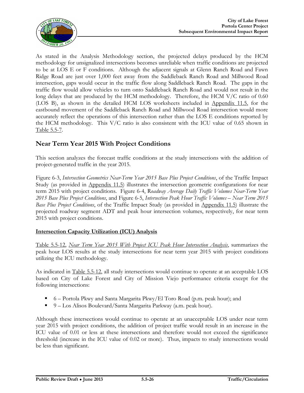

As stated in the Analysis Methodology section, the projected delays produced by the HCM methodology for unsignalized intersections becomes unreliable when traffic conditions are projected to be at LOS E or F conditions. Although the adjacent signals at Glenn Ranch Road and Fawn Ridge Road are just over 1,000 feet away from the Saddleback Ranch Road and Millwood Road intersection, gaps would occur in the traffic flow along Saddleback Ranch Road. The gaps in the traffic flow would allow vehicles to turn onto Saddleback Ranch Road and would not result in the long delays that are produced by the HCM methodology. Therefore, the HCM V/C ratio of 0.60 (LOS B), as shown in the detailed HCM LOS worksheets included in Appendix 11.5, for the eastbound movement of the Saddleback Ranch Road and Millwood Road intersection would more accurately reflect the operations of this intersection rather than the LOS E conditions reported by the HCM methodology. This  $V/C$  ratio is also consistent with the ICU value of 0.65 shown in Table 5.5-7.

### **Near Term Year 2015 With Project Conditions**

This section analyzes the forecast traffic conditions at the study intersections with the addition of project-generated traffic in the year 2015.

Figure 6-3, *Intersection Geometrics Near-Term Year 2015 Base Plus Project Conditions*, of the Traffic Impact Study (as provided in Appendix 11.5) illustrates the intersection geometric configurations for near term 2015 with project conditions. Figure 6-4, R*oadway Average Daily Traffic Volumes Near-Term Year 2015 Base Plus Project Conditions*, and Figure 6-5, *Intersection Peak Hour Traffic Volumes – Near Term 2015 Base Plus Project Conditions*, of the Traffic Impact Study (as provided in Appendix 11.5) illustrate the projected roadway segment ADT and peak hour intersection volumes, respectively, for near term 2015 with project conditions.

#### **Intersection Capacity Utilization (ICU) Analysis**

Table 5.5-12, *Near Term Year 2015 With Project ICU Peak Hour Intersection Analysis*, summarizes the peak hour LOS results at the study intersections for near term year 2015 with project conditions utilizing the ICU methodology.

As indicated in Table 5.5-12, all study intersections would continue to operate at an acceptable LOS based on City of Lake Forest and City of Mission Viejo performance criteria except for the following intersections:

- $\bullet$  6 Portola Pkwy and Santa Margarita Pkwy/El Toro Road (p.m. peak hour); and
- 9 Los Alisos Boulevard/Santa Margarita Parkway (a.m. peak hour).

Although these intersections would continue to operate at an unacceptable LOS under near term year 2015 with project conditions, the addition of project traffic would result in an increase in the ICU value of 0.01 or less at these intersections and therefore would not exceed the significance threshold (increase in the ICU value of 0.02 or more). Thus, impacts to study intersections would be less than significant.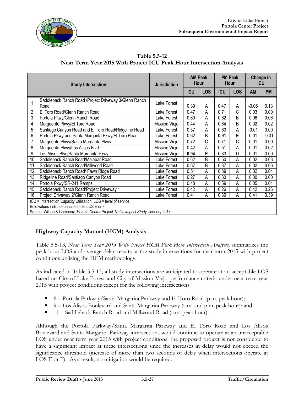

**Table 5.5-12 Near Term Year 2015 With Project ICU Peak Hour Intersection Analysis**

|                | <b>Study Intersection</b>                                                                                         | <b>Jurisdiction</b> | <b>AM Peak</b><br>Hour |            | <b>PM Peak</b><br>Hour |            |         | Change in<br><b>ICU</b> |
|----------------|-------------------------------------------------------------------------------------------------------------------|---------------------|------------------------|------------|------------------------|------------|---------|-------------------------|
|                |                                                                                                                   |                     | <b>ICU</b>             | <b>LOS</b> | <b>ICU</b>             | <b>LOS</b> | AM      | <b>PM</b>               |
| 1              | Saddleback Ranch Road / Project Driveway 3/Glenn Ranch<br>Road                                                    | Lake Forest         | 0.39                   | Α          | 0.47                   | A          | $-0.06$ | 0.13                    |
| $\overline{2}$ | El Toro Road/Glenn Ranch Road                                                                                     | Lake Forest         | 0.47                   | A          | 0.71                   | С          | 0.03    | 0.00                    |
| 3              | Portola Pkwy/Glenn Ranch Road                                                                                     | Lake Forest         | 0.60                   | A          | 0.62                   | B          | 0.06    | 0.06                    |
| 4              | Marguerite Pkwy/El Toro Road                                                                                      | Mission Viejo       | 0.44                   | A          | 0.64                   | B          | 0.02    | 0.02                    |
| 5              | Santiago Canyon Road and El Toro Road/Ridgeline Road                                                              | Lake Forest         | 0.57                   | A          | 0.60                   | А          | $-0.01$ | 0.00                    |
| 6              | Portola Pkwy and Santa Margarita Pkwy/El Toro Road                                                                | Lake Forest         | 0.62                   | B          | 0.91                   | E          | 0.01    | $-0.01$                 |
| 7              | Marguerite Pkwy/Santa Margarita Pkwy                                                                              | Mission Viejo       | 0.72                   | C          | 0.71                   | С          | 0.01    | 0.00                    |
| 8              | Marguerite Pkwy/Los Alisos Blvd                                                                                   | Mission Viejo       | 0.42                   | Α          | 0.51                   | Α          | 0.01    | 0.02                    |
| 9              | Los Alisos Blvd/Santa Margarita Pkwy                                                                              | Mission Viejo       | 0.94                   | E          | 0.83                   | D          | 0.01    | 0.00                    |
| 10             | Saddleback Ranch Road/Malabar Road                                                                                | Lake Forest         | 0.62                   | B          | 0.50                   | A          | 0.02    | 0.03                    |
| 11             | Saddleback Ranch Road/Millwood Road                                                                               | Lake Forest         | 0.67                   | B          | 0.37                   | A          | 0.02    | 0.06                    |
| 12             | Saddleback Ranch Road/ Fawn Ridge Road                                                                            | Lake Forest         | 0.51                   | A          | 0.39                   | Α          | 0.02    | 0.04                    |
| 13             | Ridgeline Road/Santiago Canyon Road                                                                               | Lake Forest         | 0.27                   | Α          | 0.30                   | Α          | 0.00    | 0.00                    |
| 14             | Portola Pkwy/SR-241 Ramps                                                                                         | Lake Forest         | 0.48                   | Α          | 0.59                   | A          | 0.05    | 0.04                    |
| 15             | Saddleback Ranch Road/Project Driveway 1                                                                          | Lake Forest         | 0.42                   | A          | 0.26                   | Α          | 0.42    | 0.26                    |
| 16             | Project Driveway 2/Glenn Ranch Road                                                                               | Lake Forest         | 0.41                   | Α          | 0.39                   | Α          | 0.41    | 0.39                    |
|                | ICU = Intersection Capacity Utilization; LOS = level of service.<br>Bold values indicate unacceptable LOS E or F. |                     |                        |            |                        |            |         |                         |
|                | Source: Wilson & Company, Portola Center Project Traffic Impact Study, January 2013.                              |                     |                        |            |                        |            |         |                         |

#### **Highway Capacity Manual (HCM) Analysis**

Table 5.5-13, *Near Term Year 2015 With Project HCM Peak Hour Intersection Analysis*, summarizes the peak hour LOS and average delay results at the study intersections for near term 2015 with project conditions utilizing the HCM methodology.

As indicated in Table 5.5-13, all study intersections are anticipated to operate at an acceptable LOS based on City of Lake Forest and City of Mission Viejo performance criteria under near term year 2015 with project conditions except for the following intersections:

- $\bullet$  6 Portola Parkway/Santa Margarita Parkway and El Toro Road (p.m. peak hour);
- 9 Los Alisos Boulevard and Santa Margarita Parkway (a.m. and p.m. peak hour); and
- 11 Saddleback Ranch Road and Millwood Road (a.m. peak hour).

Although the Portola Parkway/Santa Margarita Parkway and El Toro Road and Los Alisos Boulevard and Santa Margarita Parkway intersections would continue to operate at an unacceptable LOS under near term year 2015 with project conditions, the proposed project is not considered to have a significant impact at these intersections since the increases in delay would not exceed the significance threshold (increase of more than two seconds of delay when intersections operate at LOS E or F). As a result, no mitigation would be required.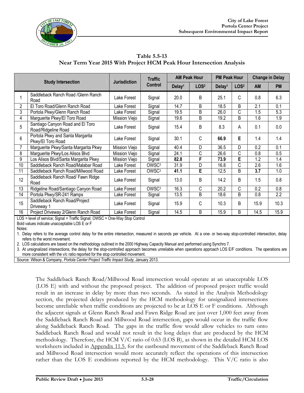

| Table 5.5-13                                                         |  |
|----------------------------------------------------------------------|--|
| Near Term Year 2015 With Project HCM Peak Hour Intersection Analysis |  |

|                |                                                         | <b>Jurisdiction</b> | <b>Traffic</b>    | <b>AM Peak Hour</b> |                  | <b>PM Peak Hour</b> |                  | <b>Change in Delay</b> |                  |
|----------------|---------------------------------------------------------|---------------------|-------------------|---------------------|------------------|---------------------|------------------|------------------------|------------------|
|                | <b>Study Intersection</b>                               | Control             |                   | Delay <sup>1</sup>  | LOS <sup>2</sup> | Delay <sup>1</sup>  | LOS <sup>2</sup> | <b>AM</b>              | <b>PM</b>        |
|                | Saddleback Ranch Road / Glenn Ranch<br>Road             | Lake Forest         | Signal            | 20.0                | B                | 25.1                | C                | 0.8                    | 6.3              |
| $\overline{2}$ | El Toro Road/Glenn Ranch Road                           | Lake Forest         | Signal            | 14.7                | B                | 18.5                | B                | 2.1                    | 0.1              |
| 3              | Portola Pkwy/Glenn Ranch Road                           | Lake Forest         | Signal            | 19.5                | B                | 26.0                | C                | $\overline{1.5}$       | 5.3              |
| 4              | Marguerite Pkwy/El Toro Road                            | Mission Viejo       | Signal            | 19.6                | B                | 19.2                | B                | 1.6                    | $\overline{1.9}$ |
| 5              | Santiago Canyon Road and El Toro<br>Road/Ridgeline Road | Lake Forest         | Signal            | 15.4                | B                | 8.3                 | А                | 0.1                    | 0.0              |
| 6              | Portola Pkwy and Santa Margarita<br>Pkwy/El Toro Road   | Lake Forest         | Signal            | 30.1                | C                | 66.9                | E                | 1.4                    | 1.4              |
|                | Marguerite Pkwy/Santa Margarita Pkwy                    | Mission Viejo       | Signal            | 40.4                | D                | 36.5                | D                | 0.2                    | 0.1              |
| 8              | Marguerite Pkwy/Los Alisos Blvd                         | Mission Viejo       | Signal            | 24.1                | C                | 26.6                | С                | 0.8                    | 0.5              |
| 9              | Los Alisos Blvd/Santa Margarita Pkwy                    | Mission Viejo       | Signal            | 82.8                | F                | 73.9                | E                | 1.2                    | 1.4              |
| 10             | Saddleback Ranch Road/Malabar Road                      | Lake Forest         | OWSC <sup>3</sup> | 31.9                | D                | 16.8                | Ć                | 2.6                    | 1.6              |
| 11             | Saddleback Ranch Road/Millwood Road                     | Lake Forest         | OWSC <sup>3</sup> | 41.1                | E                | 12.5                | B                | 3.7                    | 1.0              |
| 12             | Saddleback Ranch Road/ Fawn Ridge<br>Road               | Lake Forest         | Signal            | 13.0                | B                | 14.2                | B                | 1.5                    | 0.8              |
| 13             | Ridgeline Road/Santiago Canyon Road                     | Lake Forest         | OWSC <sup>3</sup> | 16.3                | C                | 20.2                | C                | 0.2                    | 0.8              |
| 14             | Portola Pkwy/SR-241 Ramps                               | Lake Forest         | Signal            | 13.5                | B                | 18.6                | B                | 0.8                    | 2.2              |
| 15             | Saddleback Ranch Road/Project<br>Driveway 1             | Lake Forest         | Signal            | 15.9                | C                | 10.3                | B                | 15.9                   | 10.3             |
| 16             | Project Driveway 2/Glenn Ranch Road                     | Lake Forest         | Signal            | 14.5                | B                | 15.9                | B                | 14.5                   | 15.9             |

LOS = level of service; Signal = Traffic Signal; OWSC = One-Way Stop Control

Bold values indicate unacceptable LOS E or F

Notes:

1. Delay refers to the average control delay for the entire intersection, measured in seconds per vehicle. At a one- or two-way stop-controlled intersection, delay refers to the worst movement.

2. LOS calculations are based on the methodology outlined in the 2000 Highway Capacity Manual and performed using Synchro 7.

3. At unsignalized intersections, the delay for the stop-controlled approach becomes unreliable when operations approach LOS E/F conditions. The operations are more consistent with the v/c ratio reported for the stop controlled movement.

Source: Wilson & Company, *Portola Center Project Traffic Impact Study*, January 2013.

The Saddleback Ranch Road/Millwood Road intersection would operate at an unacceptable LOS (LOS E) with and without the proposed project. The addition of proposed project traffic would result in an increase in delay by more than two seconds. As stated in the Analysis Methodology section, the projected delays produced by the HCM methodology for unsignalized intersections become unreliable when traffic conditions are projected to be at LOS E or F conditions. Although the adjacent signals at Glenn Ranch Road and Fawn Ridge Road are just over 1,000 feet away from the Saddleback Ranch Road and Millwood Road intersection, gaps would occur in the traffic flow along Saddleback Ranch Road. The gaps in the traffic flow would allow vehicles to turn onto Saddleback Ranch Road and would not result in the long delays that are produced by the HCM methodology. Therefore, the HCM V/C ratio of 0.63 (LOS B), as shown in the detailed HCM LOS worksheets included in Appendix 11.5, for the eastbound movement of the Saddleback Ranch Road and Millwood Road intersection would more accurately reflect the operations of this intersection rather than the LOS E conditions reported by the HCM methodology. This V/C ratio is also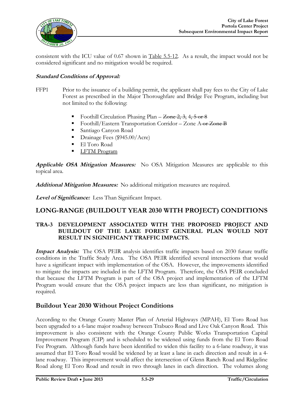

consistent with the ICU value of 0.67 shown in Table 5.5-12. As a result, the impact would not be considered significant and no mitigation would be required.

#### **Standard Conditions of Approval:**

- FFP1 Prior to the issuance of a building permit, the applicant shall pay fees to the City of Lake Forest as prescribed in the Major Thoroughfare and Bridge Fee Program, including but not limited to the following:
	- Foothill Circulation Phasing Plan  $\overline{Zone 2, 3}$ , 4, 5 or 8
	- Foothill/Eastern Transportation Corridor Zone A or Zone B
	- Santiago Canyon Road
	- Drainage Fees (\$945.00/Acre)
	- **El Toro Road**
	- **LETM Program**

**Applicable OSA Mitigation Measures:** No OSA Mitigation Measures are applicable to this topical area.

**Additional Mitigation Measures:** No additional mitigation measures are required.

**Level of Significance:** Less Than Significant Impact.

#### **LONG-RANGE (BUILDOUT YEAR 2030 WITH PROJECT) CONDITIONS**

#### **TRA-3 DEVELOPMENT ASSOCIATED WITH THE PROPOSED PROJECT AND BUILDOUT OF THE LAKE FOREST GENERAL PLAN WOULD NOT RESULT IN SIGNIFICANT TRAFFIC IMPACTS.**

**Impact Analysis:** The OSA PEIR analysis identifies traffic impacts based on 2030 future traffic conditions in the Traffic Study Area. The OSA PEIR identified several intersections that would have a significant impact with implementation of the OSA. However, the improvements identified to mitigate the impacts are included in the LFTM Program. Therefore, the OSA PEIR concluded that because the LFTM Program is part of the OSA project and implementation of the LFTM Program would ensure that the OSA project impacts are less than significant, no mitigation is required.

#### **Buildout Year 2030 Without Project Conditions**

According to the Orange County Master Plan of Arterial Highways (MPAH), El Toro Road has been upgraded to a 6-lane major roadway between Trabuco Road and Live Oak Canyon Road. This improvement is also consistent with the Orange County Public Works Transportation Capital Improvement Program (CIP) and is scheduled to be widened using funds from the El Toro Road Fee Program. Although funds have been identified to widen this facility to a 6-lane roadway, it was assumed that El Toro Road would be widened by at least a lane in each direction and result in a 4 lane roadway. This improvement would affect the intersection of Glenn Ranch Road and Ridgeline Road along El Toro Road and result in two through lanes in each direction. The volumes along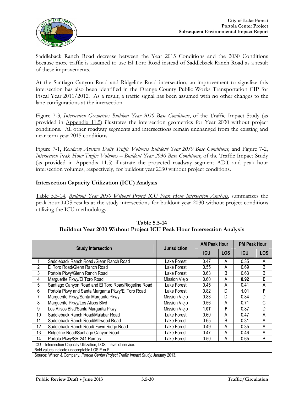

Saddleback Ranch Road decrease between the Year 2015 Conditions and the 2030 Conditions because more traffic is assumed to use El Toro Road instead of Saddleback Ranch Road as a result of these improvements.

At the Santiago Canyon Road and Ridgeline Road intersection, an improvement to signalize this intersection has also been identified in the Orange County Public Works Transportation CIP for Fiscal Year 2011/2012. As a result, a traffic signal has been assumed with no other changes to the lane configurations at the intersection.

Figure 7-3, *Intersection Geometrics Buildout Year 2030 Base Conditions*, of the Traffic Impact Study (as provided in Appendix 11.5) illustrates the intersection geometrics for Year 2030 without project conditions. All other roadway segments and intersections remain unchanged from the existing and near term year 2015 conditions.

Figure 7-1, *Roadway Average Daily Traffic Volumes Buildout Year 2030 Base Conditions*, and Figure 7-2, *Intersection Peak Hour Traffic Volumes – Buildout Year 2030 Base Conditions*, of the Traffic Impact Study (as provided in Appendix 11.5) illustrate the projected roadway segment ADT and peak hour intersection volumes, respectively, for buildout year 2030 without project conditions.

#### **Intersection Capacity Utilization (ICU) Analysis**

Table 5.5-14, *Buildout Year 2030 Without Project ICU Peak Hour Intersection Analysis*, summarizes the peak hour LOS results at the study intersections for buildout year 2030 without project conditions utilizing the ICU methodology.

|    |                                                                                      |                     | <b>AM Peak Hour</b> |            |            | <b>PM Peak Hour</b> |  |  |
|----|--------------------------------------------------------------------------------------|---------------------|---------------------|------------|------------|---------------------|--|--|
|    | <b>Study Intersection</b>                                                            | <b>Jurisdiction</b> | <b>ICU</b>          | <b>LOS</b> | <b>ICU</b> | <b>LOS</b>          |  |  |
|    | Saddleback Ranch Road / Glenn Ranch Road                                             | Lake Forest         | 0.47                | A          | 0.35       | A                   |  |  |
| 2  | El Toro Road/Glenn Ranch Road                                                        | Lake Forest         | 0.55                | A          | 0.69       | B                   |  |  |
| 3  | Portola Pkwy/Glenn Ranch Road                                                        | Lake Forest         | 0.63                | B          | 0.63       | B                   |  |  |
| 4  | Marguerite Pkwy/El Toro Road                                                         | Mission Viejo       | 0.60                | A          | 0.92       | E                   |  |  |
| 5  | Santiago Canyon Road and El Toro Road/Ridgeline Road                                 | Lake Forest         | 0.45                | А          | 0.41       | A                   |  |  |
| 6  | Portola Pkwy and Santa Margarita Pkwy/El Toro Road                                   | Lake Forest         | 0.82                | D          | 1.01       | F                   |  |  |
| 7  | Marguerite Pkwy/Santa Margarita Pkwy                                                 | Mission Viejo       | 0.83                | D          | 0.84       | D                   |  |  |
| 8  | Marguerite Pkwy/Los Alisos Blvd                                                      | Mission Viejo       | 0.56                | A          | 0.71       | С                   |  |  |
| 9  | Los Alisos Blvd/Santa Margarita Pkwy                                                 | Mission Viejo       | 1.07                | F          | 0.87       | D                   |  |  |
| 10 | Saddleback Ranch Road/Malabar Road                                                   | Lake Forest         | 0.60                | A          | 0.47       | A                   |  |  |
| 11 | Saddleback Ranch Road/Millwood Road                                                  | Lake Forest         | 0.65                | B          | 0.31       | A                   |  |  |
| 12 | Saddleback Ranch Road/ Fawn Ridge Road                                               | Lake Forest         | 0.49                | А          | 0.35       | A                   |  |  |
| 13 | Ridgeline Road/Santiago Canyon Road                                                  | Lake Forest         | 0.47                | А          | 0.46       | A                   |  |  |
| 14 | Portola Pkwy/SR-241 Ramps                                                            | Lake Forest         | 0.50                | Α          | 0.65       | B                   |  |  |
|    | ICU = Intersection Capacity Utilization; LOS = level of service.                     |                     |                     |            |            |                     |  |  |
|    | Bold values indicate unacceptable LOS E or F                                         |                     |                     |            |            |                     |  |  |
|    | Source: Wilson & Company, Portola Center Project Traffic Impact Study, January 2013. |                     |                     |            |            |                     |  |  |

#### **Table 5.5-14 Buildout Year 2030 Without Project ICU Peak Hour Intersection Analysis**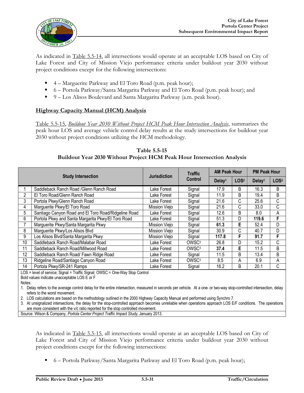

As indicated in Table 5.5-14, all intersections would operate at an acceptable LOS based on City of Lake Forest and City of Mission Viejo performance criteria under buildout year 2030 without project conditions except for the following intersections:

- $\blacksquare$  4 Marguerite Parkway and El Toro Road (p.m. peak hour);
- 6 Portola Parkway/Santa Margarita Parkway and El Toro Road (p.m. peak hour); and
- 9 Los Alisos Boulevard and Santa Margarita Parkway (a.m. peak hour).

#### **Highway Capacity Manual (HCM) Analysis**

Table 5.5-15, *Buildout Year 2030 Without Project HCM Peak Hour Intersection Analysis*, summarizes the peak hour LOS and average vehicle control delay results at the study intersections for buildout year 2030 without project conditions utilizing the HCM methodology.

|                 |                                                      | <b>Jurisdiction</b> | <b>Traffic</b>    | <b>AM Peak Hour</b> |                  | <b>PM Peak Hour</b> |                  |
|-----------------|------------------------------------------------------|---------------------|-------------------|---------------------|------------------|---------------------|------------------|
|                 | <b>Study Intersection</b>                            |                     | Control           | Delay <sup>1</sup>  | LOS <sup>2</sup> | Delay <sup>1</sup>  | LOS <sup>2</sup> |
|                 | Saddleback Ranch Road / Glenn Ranch Road             | Lake Forest         | Signal            | 17.9                | B                | 16.3                | B                |
| $\overline{c}$  | El Toro Road/Glenn Ranch Road                        | Lake Forest         | Signal            | 11.9                | B                | 19.4                | B                |
| 3               | Portola Pkwy/Glenn Ranch Road                        | Lake Forest         | Signal            | 21.6                | C                | 25.6                | C                |
| 4               | Marguerite Pkwy/El Toro Road                         | Mission Viejo       | Signal            | 21.6                | C                | 33.0                | C                |
| $\overline{5}$  | Santiago Canyon Road and El Toro Road/Ridgeline Road | Lake Forest         | Signal            | 12.6                | B                | 8.0                 | A                |
| $6\overline{6}$ | Portola Pkwy and Santa Margarita Pkwy/El Toro Road   | Lake Forest         | Signal            | 51.3                | D                | 119.6               | F                |
| $\overline{7}$  | Marguerite Pkwy/Santa Margarita Pkwy                 | Mission Viejo       | Signal            | 61.3                | Е                | 52.4                | D                |
| $\overline{8}$  | Marguerite Pkwy/Los Alisos Blvd                      | Mission Viejo       | Signal            | 30.9                | C                | 40.7                | D                |
| $\overline{9}$  | Los Alisos Blvd/Santa Margarita Pkwy                 | Mission Viejo       | Signal            | 117.8               | F                | 91.7                | F                |
| 10              | Saddleback Ranch Road/Malabar Road                   | Lake Forest         | OWSC <sup>3</sup> | 26.8                | D                | 15.2                | C                |
| 11              | Saddleback Ranch Road/Millwood Road                  | Lake Forest         | OWSC <sup>3</sup> | 37.4                | Е                | 11.5                | B                |
| 12 <sup>°</sup> | Saddleback Ranch Road/ Fawn Ridge Road               | Lake Forest         | Signal            | 11.5                | B                | 13.4                | B                |
| 13              | Ridgeline Road/Santiago Canyon Road                  | Lake Forest         | OWSC <sup>3</sup> | 8.5                 | A                | 6.9                 | A                |
| 14              | Portola Pkwy/SR-241 Ramps                            | Lake Forest         | Signal            | 16.2                | B                | 20.1                | C                |

**Table 5.5-15 Buildout Year 2030 Without Project HCM Peak Hour Intersection Analysis**

LOS = level of service; Signal = Traffic Signal; OWSC = One-Way Stop Control

Bold values indicate unacceptable LOS E or F

Notes:

1. Delay refers to the average control delay for the entire intersection, measured in seconds per vehicle. At a one- or two-way stop-controlled intersection, delay refers to the worst movement.

2. LOS calculations are based on the methodology outlined in the 2000 Highway Capacity Manual and performed using Synchro 7.

3. At unsignalized intersections, the delay for the stop-controlled approach becomes unreliable when operations approach LOS E/F conditions. The operations are more consistent with the v/c ratio reported for the stop controlled movement.

Source: Wilson & Company, *Portola Center Project Traffic Impact Study*, January 2013.

As indicated in Table 5.5-15, all intersections would operate at an acceptable LOS based on City of Lake Forest and City of Mission Viejo performance criteria under buildout year 2030 without project conditions except for the following intersections:

 $\bullet$  6 – Portola Parkway/Santa Margarita Parkway and El Toro Road (p.m. peak hour);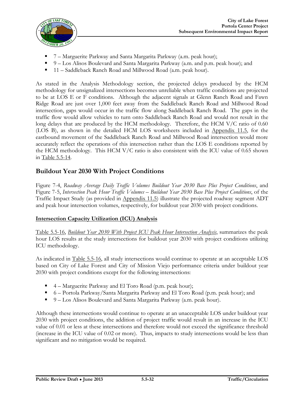

- 7 Marguerite Parkway and Santa Margarita Parkway (a.m. peak hour);
- 9 Los Alisos Boulevard and Santa Margarita Parkway (a.m. and p.m. peak hour); and
- 11 Saddleback Ranch Road and Millwood Road (a.m. peak hour).

As stated in the Analysis Methodology section, the projected delays produced by the HCM methodology for unsignalized intersections becomes unreliable when traffic conditions are projected to be at LOS E or F conditions. Although the adjacent signals at Glenn Ranch Road and Fawn Ridge Road are just over 1,000 feet away from the Saddleback Ranch Road and Millwood Road intersection, gaps would occur in the traffic flow along Saddleback Ranch Road. The gaps in the traffic flow would allow vehicles to turn onto Saddleback Ranch Road and would not result in the long delays that are produced by the HCM methodology. Therefore, the HCM V/C ratio of 0.60 (LOS B), as shown in the detailed HCM LOS worksheets included in Appendix 11.5, for the eastbound movement of the Saddleback Ranch Road and Millwood Road intersection would more accurately reflect the operations of this intersection rather than the LOS E conditions reported by the HCM methodology. This HCM V/C ratio is also consistent with the ICU value of 0.65 shown in Table 5.5-14.

### **Buildout Year 2030 With Project Conditions**

Figure 7-4, *Roadway Average Daily Traffic Volumes Buildout Year 2030 Base Plus Project Conditions*, and Figure 7-5, *Intersection Peak Hour Traffic Volumes – Buildout Year 2030 Base Plus Project Conditions*, of the Traffic Impact Study (as provided in Appendix 11.5) illustrate the projected roadway segment ADT and peak hour intersection volumes, respectively, for buildout year 2030 with project conditions.

#### **Intersection Capacity Utilization (ICU) Analysis**

Table 5.5-16, *Buildout Year 2030 With Project ICU Peak Hour Intersection Analysis*, summarizes the peak hour LOS results at the study intersections for buildout year 2030 with project conditions utilizing ICU methodology.

As indicated in Table 5.5-16, all study intersections would continue to operate at an acceptable LOS based on City of Lake Forest and City of Mission Viejo performance criteria under buildout year 2030 with project conditions except for the following intersections:

- 4 Marguerite Parkway and El Toro Road (p.m. peak hour);
- 6 Portola Parkway/Santa Margarita Parkway and El Toro Road (p.m. peak hour); and
- 9 Los Alisos Boulevard and Santa Margarita Parkway (a.m. peak hour).

Although these intersections would continue to operate at an unacceptable LOS under buildout year 2030 with project conditions, the addition of project traffic would result in an increase in the ICU value of 0.01 or less at these intersections and therefore would not exceed the significance threshold (increase in the ICU value of 0.02 or more). Thus, impacts to study intersections would be less than significant and no mitigation would be required.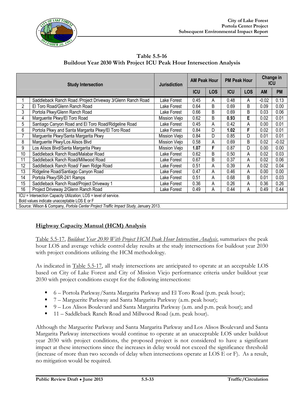

**Table 5.5-16 Buildout Year 2030 With Project ICU Peak Hour Intersection Analysis**

|    | <b>Study Intersection</b>                                                                                        |               |            | <b>AM Peak Hour</b> |            | <b>PM Peak Hour</b> |           | Change in<br><b>ICU</b> |
|----|------------------------------------------------------------------------------------------------------------------|---------------|------------|---------------------|------------|---------------------|-----------|-------------------------|
|    |                                                                                                                  |               | <b>ICU</b> | <b>LOS</b>          | <b>ICU</b> | <b>LOS</b>          | <b>AM</b> | <b>PM</b>               |
|    | Saddleback Ranch Road / Project Driveway 3/Glenn Ranch Road                                                      | Lake Forest   | 0.45       | Α                   | 0.48       | A                   | $-0.02$   | 0.13                    |
| 2  | El Toro Road/Glenn Ranch Road                                                                                    | Lake Forest   | 0.64       | B                   | 0.69       | B                   | 0.09      | 0.00                    |
| 3  | Portola Pkwy/Glenn Ranch Road                                                                                    | Lake Forest   | 0.66       | B                   | 0.69       | B                   | 0.03      | 0.06                    |
| 4  | Marguerite Pkwy/El Toro Road                                                                                     | Mission Viejo | 0.62       | B                   | 0.93       | E                   | 0.02      | 0.01                    |
| 5  | Santiago Canyon Road and El Toro Road/Ridgeline Road                                                             | Lake Forest   | 0.45       | Α                   | 0.42       | Α                   | 0.00      | 0.01                    |
| 6  | Portola Pkwy and Santa Margarita Pkwy/El Toro Road                                                               | Lake Forest   | 0.84       | D                   | 1.02       | F                   | 0.02      | 0.01                    |
| 7  | Marguerite Pkwy/Santa Margarita Pkwy                                                                             |               | 0.84       | D                   | 0.85       | D                   | 0.01      | 0.01                    |
| 8  | Marguerite Pkwy/Los Alisos Blvd                                                                                  |               | 0.58       | Α                   | 0.69       | B                   | 0.02      | $-0.02$                 |
| 9  | Los Alisos Blvd/Santa Margarita Pkwy                                                                             | Mission Viejo | 1.07       | F                   | 0.87       | D                   | 0.00      | 0.00                    |
| 10 | Saddleback Ranch Road/Malabar Road                                                                               | Lake Forest   | 0.62       | B                   | 0.50       | Α                   | 0.02      | 0.03                    |
| 11 | Saddleback Ranch Road/Millwood Road                                                                              | Lake Forest   | 0.67       | В                   | 0.37       | А                   | 0.02      | 0.06                    |
| 12 | Saddleback Ranch Road/ Fawn Ridge Road                                                                           | Lake Forest   | 0.51       | Α                   | 0.39       | Α                   | 0.02      | 0.04                    |
| 13 | Ridgeline Road/Santiago Canyon Road                                                                              | Lake Forest   | 0.47       | Α                   | 0.46       | А                   | 0.00      | 0.00                    |
| 14 | Portola Pkwy/SR-241 Ramps                                                                                        | Lake Forest   | 0.51       | Α                   | 0.68       | B                   | 0.01      | 0.03                    |
| 15 | Saddleback Ranch Road/Project Driveway 1                                                                         |               | 0.36       | Α                   | 0.26       | А                   | 0.36      | 0.26                    |
| 16 | Project Driveway 2/Glenn Ranch Road                                                                              | Lake Forest   | 0.49       | А                   | 0.44       | A                   | 0.49      | 0.44                    |
|    | ICU = Intersection Capacity Utilization; LOS = level of service.<br>Bold values indicate unacceptable LOS E or F |               |            |                     |            |                     |           |                         |
|    | Source: Wilson & Company, Portola Center Project Traffic Impact Study, January 2013.                             |               |            |                     |            |                     |           |                         |

### **Highway Capacity Manual (HCM) Analysis**

Table 5.5-17, *Buildout Year 2030 With Project HCM Peak Hour Intersection Analysis*, summarizes the peak hour LOS and average vehicle control delay results at the study intersections for buildout year 2030 with project conditions utilizing the HCM methodology.

As indicated in Table 5.5-17, all study intersections are anticipated to operate at an acceptable LOS based on City of Lake Forest and City of Mission Viejo performance criteria under buildout year 2030 with project conditions except for the following intersections:

- 6 Portola Parkway/Santa Margarita Parkway and El Toro Road (p.m. peak hour);
- 7 Marguerite Parkway and Santa Margarita Parkway (a.m. peak hour);
- 9 Los Alisos Boulevard and Santa Margarita Parkway (a.m. and p.m. peak hour); and
- 11 Saddleback Ranch Road and Millwood Road (a.m. peak hour).

Although the Marguerite Parkway and Santa Margarita Parkway and Los Alisos Boulevard and Santa Margarita Parkway intersections would continue to operate at an unacceptable LOS under buildout year 2030 with project conditions, the proposed project is not considered to have a significant impact at these intersections since the increases in delay would not exceed the significance threshold (increase of more than two seconds of delay when intersections operate at LOS E or F). As a result, no mitigation would be required.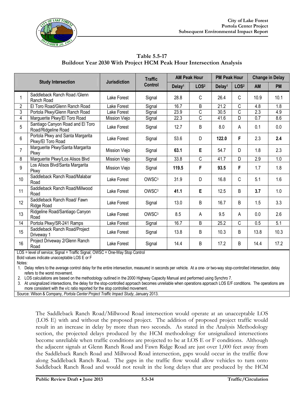

| Table 5.5-17                                                        |  |
|---------------------------------------------------------------------|--|
| Buildout Year 2030 With Project HCM Peak Hour Intersection Analysis |  |

|                |                                                                 |                     | <b>Traffic</b>    | <b>AM Peak Hour</b> |                  | <b>PM Peak Hour</b> |                       | <b>Change in Delay</b> |           |
|----------------|-----------------------------------------------------------------|---------------------|-------------------|---------------------|------------------|---------------------|-----------------------|------------------------|-----------|
|                | <b>Study Intersection</b>                                       | <b>Jurisdiction</b> | <b>Control</b>    | Delay <sup>1</sup>  | LOS <sup>2</sup> | Delay <sup>1</sup>  | LOS <sup>2</sup>      | <b>AM</b>              | <b>PM</b> |
|                | Saddleback Ranch Road / Glenn<br>Ranch Road                     | Lake Forest         | Signal            | 28.8                | $\mathsf{C}$     | 26.4                | C                     | 10.9                   | 10.1      |
| $\overline{2}$ | El Toro Road/Glenn Ranch Road                                   | Lake Forest         | Signal            | 16.7                | B                | 21.2                | C                     | 4.8                    | 1.8       |
| 3              | Portola Pkwy/Glenn Ranch Road                                   | Lake Forest         | Signal            | 23.9                | C                | 30.5                | $\overline{\text{C}}$ | 2.3                    | 4.9       |
| 4              | Marguerite Pkwy/El Toro Road                                    | Mission Viejo       | Signal            | 22.3                | C                | 41.6                | D                     | 0.7                    | 8.6       |
| 5              | Santiago Canyon Road and El Toro<br>Road/Ridgeline Road         | Lake Forest         | Signal            | 12.7                | B                | 8.0                 | A                     | 0.1                    | 0.0       |
| 6              | Portola Pkwy and Santa Margarita<br>Pkwy/El Toro Road           | Lake Forest         | Signal            | 53.6                | D                | 122.0               | F                     | 2.3                    | 2.4       |
| $\overline{7}$ | Marguerite Pkwy/Santa Margarita<br>Mission Viejo<br><b>Pkwy</b> |                     | Signal            | 63.1                | E                | 54.7                | D                     | 1.8                    | 2.3       |
| 8              | Marguerite Pkwy/Los Alisos Blvd                                 | Mission Viejo       |                   | 33.8                | С                | 41.7                | D                     | 2.9                    | 1.0       |
| 9              | Los Alisos Blvd/Santa Margarita<br>Pkwy                         | Mission Viejo       | Signal            | 119.5               | F                | 93.5                | F                     | 1.7                    | 1.8       |
| 10             | Saddleback Ranch Road/Malabar<br>Road                           | Lake Forest         | OWSC <sup>3</sup> | 31.9                | D                | 16.8                | C                     | 5.1                    | 1.6       |
| 11             | Saddleback Ranch Road/Millwood<br>Road                          | Lake Forest         | OWSC <sup>3</sup> | 41.1                | E                | 12.5                | B                     | 3.7                    | 1.0       |
| 12             | Saddleback Ranch Road/ Fawn<br>Ridge Road                       | Lake Forest         | Signal            | 13.0                | B                | 16.7                | B                     | 1.5                    | 3.3       |
| 13             | Ridgeline Road/Santiago Canyon<br>Road                          | Lake Forest         | OWSC <sup>3</sup> | 8.5                 | A                | 9.5                 | А                     | 0.0                    | 2.6       |
| 14             | Portola Pkwy/SR-241 Ramps                                       | Lake Forest         | Signal            | 16.7                | B                | 25.2                | C                     | 0.5                    | 5.1       |
| 15             | Saddleback Ranch Road/Project<br>Driveway 1                     | Lake Forest         | Signal            | 13.8                | B                | 10.3                | B                     | 13.8                   | 10.3      |
| 16             | Project Driveway 2/Glenn Ranch<br>Road                          | Lake Forest         | Signal            | 14.4                | B                | 17.2                | B                     | 14.4                   | 17.2      |

LOS = level of service; Signal = Traffic Signal; OWSC = One-Way Stop Control

Bold values indicate unacceptable LOS E or F

Notes:

1. Delay refers to the average control delay for the entire intersection, measured in seconds per vehicle. At a one- or two-way stop-controlled intersection, delay refers to the worst movement.

2. LOS calculations are based on the methodology outlined in the 2000 Highway Capacity Manual and performed using Synchro 7.

3. At unsignalized intersections, the delay for the stop-controlled approach becomes unreliable when operations approach LOS E/F conditions. The operations are more consistent with the v/c ratio reported for the stop controlled movement.

Source: Wilson & Company, *Portola Center Project Traffic Impact Study*, January 2013.

The Saddleback Ranch Road/Millwood Road intersection would operate at an unacceptable LOS (LOS E) with and without the proposed project. The addition of proposed project traffic would result in an increase in delay by more than two seconds. As stated in the Analysis Methodology section, the projected delays produced by the HCM methodology for unsignalized intersections become unreliable when traffic conditions are projected to be at LOS E or F conditions. Although the adjacent signals at Glenn Ranch Road and Fawn Ridge Road are just over 1,000 feet away from the Saddleback Ranch Road and Millwood Road intersection, gaps would occur in the traffic flow along Saddleback Ranch Road. The gaps in the traffic flow would allow vehicles to turn onto Saddleback Ranch Road and would not result in the long delays that are produced by the HCM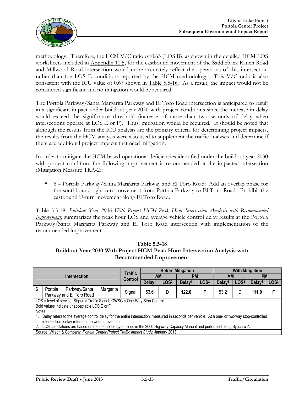

methodology. Therefore, the HCM V/C ratio of 0.63 (LOS B), as shown in the detailed HCM LOS worksheets included in Appendix 11.5, for the eastbound movement of the Saddleback Ranch Road and Millwood Road intersection would more accurately reflect the operations of this intersection rather than the LOS E conditions reported by the HCM methodology. This V/C ratio is also consistent with the ICU value of 0.67 shown in Table 5.5-16. As a result, the impact would not be considered significant and no mitigation would be required.

The Portola Parkway/Santa Margarita Parkway and El Toro Road intersection is anticipated to result in a significant impact under buildout year 2030 with project conditions since the increase in delay would exceed the significance threshold (increase of more than two seconds of delay when intersections operate at LOS E or F). Thus, mitigation would be required. It should be noted that although the results from the ICU analysis are the primary criteria for determining project impacts, the results from the HCM analysis were also used to supplement the traffic analyses and determine if there are additional project impacts that need mitigation.

In order to mitigate the HCM-based operational deficiencies identified under the buildout year 2030 with project condition, the following improvement is recommended at the impacted intersection (Mitigation Measure TRA-2):

 6 – Portola Parkway/Santa Margarita Parkway and El Toro Road: Add an overlap phase for the southbound right-turn movement from Portola Parkway to El Toro Road. Prohibit the eastbound U-turn movement along El Toro Road.

Table 5.5-18, *Buildout Year 2030 With Project HCM Peak Hour Intersection Analysis with Recommended Improvement*, summarizes the peak hour LOS and average vehicle control delay results at the Portola Parkway/Santa Margarita Parkway and El Toro Road intersection with implementation of the recommended improvement.

#### **Table 5.5-18 Buildout Year 2030 With Project HCM Peak Hour Intersection Analysis with Recommended Improvement**

|                                                                              |                                                                                                                                              | Traffic |                    |                        | <b>Before Mitigation</b> | <b>With Mitigation</b> |                    |                  |                    |                  |
|------------------------------------------------------------------------------|----------------------------------------------------------------------------------------------------------------------------------------------|---------|--------------------|------------------------|--------------------------|------------------------|--------------------|------------------|--------------------|------------------|
|                                                                              | <b>Intersection</b>                                                                                                                          | Control |                    | <b>PM</b><br><b>AM</b> |                          |                        | <b>AM</b>          |                  | <b>PM</b>          |                  |
|                                                                              |                                                                                                                                              |         | Delay <sup>1</sup> | LOS <sup>2</sup>       | Delay <sup>1</sup>       | LOS <sup>2</sup>       | Delay <sup>1</sup> | LOS <sup>2</sup> | Delay <sup>1</sup> | LOS <sup>2</sup> |
| 6                                                                            | Parkway/Santa<br>Portola<br>Margarita<br>Parkway and El Toro Road                                                                            | Signal  | 53.6               | D                      | 122.0                    | F                      | 53.2               | D                | 111.0              |                  |
| LOS = level of service; Signal = Traffic Signal; OWSC = One-Way Stop Control |                                                                                                                                              |         |                    |                        |                          |                        |                    |                  |                    |                  |
|                                                                              | Bold values indicate unacceptable LOS E or F                                                                                                 |         |                    |                        |                          |                        |                    |                  |                    |                  |
| Notes:                                                                       |                                                                                                                                              |         |                    |                        |                          |                        |                    |                  |                    |                  |
|                                                                              | Delay refers to the average control delay for the entire intersection, measured in seconds per vehicle. At a one- or two-way stop-controlled |         |                    |                        |                          |                        |                    |                  |                    |                  |
|                                                                              | intersection, delay refers to the worst movement.                                                                                            |         |                    |                        |                          |                        |                    |                  |                    |                  |
| 2.                                                                           | LOS calculations are based on the methodology outlined in the 2000 Highway Capacity Manual and performed using Synchro 7.                    |         |                    |                        |                          |                        |                    |                  |                    |                  |
|                                                                              | Source: Wilson & Company, Portola Center Project Traffic Impact Study, January 2013.                                                         |         |                    |                        |                          |                        |                    |                  |                    |                  |
|                                                                              |                                                                                                                                              |         |                    |                        |                          |                        |                    |                  |                    |                  |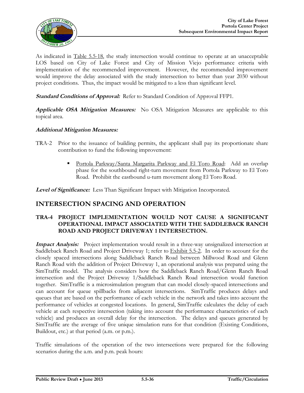

As indicated in Table 5.5-18, the study intersection would continue to operate at an unacceptable LOS based on City of Lake Forest and City of Mission Viejo performance criteria with implementation of the recommended improvement. However, the recommended improvement would improve the delay associated with the study intersection to better than year 2030 without project conditions. Thus, the impact would be mitigated to a less than significant level.

**Standard Conditions of Approval:** Refer to Standard Condition of Approval FFP1.

**Applicable OSA Mitigation Measures:** No OSA Mitigation Measures are applicable to this topical area.

#### **Additional Mitigation Measures:**

- TRA-2 Prior to the issuance of building permits, the applicant shall pay its proportionate share contribution to fund the following improvement:
	- Portola Parkway/Santa Margarita Parkway and El Toro Road: Add an overlap phase for the southbound right-turn movement from Portola Parkway to El Toro Road. Prohibit the eastbound u-turn movement along El Toro Road.

**Level of Significance:** Less Than Significant Impact with Mitigation Incorporated.

#### **INTERSECTION SPACING AND OPERATION**

#### **TRA-4 PROJECT IMPLEMENTATION WOULD NOT CAUSE A SIGNIFICANT OPERATIONAL IMPACT ASSOCIATED WITH THE SADDLEBACK RANCH ROAD AND PROJECT DRIVEWAY 1 INTERSECTION.**

**Impact Analysis:** Project implementation would result in a three-way unsignalized intersection at Saddleback Ranch Road and Project Driveway 1; refer to Exhibit 5.5-2. In order to account for the closely spaced intersections along Saddleback Ranch Road between Millwood Road and Glenn Ranch Road with the addition of Project Driveway 1, an operational analysis was prepared using the SimTraffic model. The analysis considers how the Saddleback Ranch Road/Glenn Ranch Road intersection and the Project Driveway 1/Saddleback Ranch Road intersection would function together. SimTraffic is a microsimulation program that can model closely-spaced intersections and can account for queue spillbacks from adjacent intersections. SimTraffic produces delays and queues that are based on the performance of each vehicle in the network and takes into account the performance of vehicles at congested locations. In general, SimTraffic calculates the delay of each vehicle at each respective intersection (taking into account the performance characteristics of each vehicle) and produces an overall delay for the intersection. The delays and queues generated by SimTraffic are the average of five unique simulation runs for that condition (Existing Conditions, Buildout, etc.) at that period (a.m. or p.m.).

Traffic simulations of the operation of the two intersections were prepared for the following scenarios during the a.m. and p.m. peak hours: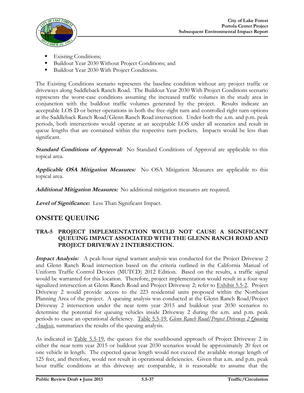

- Existing Conditions;
- Buildout Year 2030 Without Project Conditions; and
- Buildout Year 2030 With Project Conditions.

The Existing Conditions scenario represents the baseline condition without any project traffic or driveways along Saddleback Ranch Road. The Buildout Year 2030 With Project Conditions scenario represents the worst-case conditions assuming the increased traffic volumes in the study area in conjunction with the buildout traffic volumes generated by the project. Results indicate an acceptable LOS D or better operations in both the free-right turn and controlled right turn options at the Saddleback Ranch Road/Glenn Ranch Road intersection. Under both the a.m. and p.m. peak periods, both intersections would operate at an acceptable LOS under all scenarios and result in queue lengths that are contained within the respective turn pockets. Impacts would be less than significant.

**Standard Conditions of Approval:** No Standard Conditions of Approval are applicable to this topical area.

**Applicable OSA Mitigation Measures:** No OSA Mitigation Measures are applicable to this topical area.

**Additional Mitigation Measures:** No additional mitigation measures are required.

**Level of Significance:** Less Than Significant Impact.

### **ONSITE QUEUING**

#### **TRA-5 PROJECT IMPLEMENTATION WOULD NOT CAUSE A SIGNIFICANT QUEUING IMPACT ASSOCIATED WITH THE GLENN RANCH ROAD AND PROJECT DRIVEWAY 2 INTERSECTION.**

**Impact Analysis:** A peak-hour signal warrant analysis was conducted for the Project Driveway 2 and Glenn Ranch Road intersection based on the criteria outlined in the California Manual of Uniform Traffic Control Devices (MUTCD) 2012 Edition. Based on the results, a traffic signal would be warranted for this location. Therefore, project implementation would result in a four-way signalized intersection at Glenn Ranch Road and Project Driveway 2; refer to Exhibit 5.5-2. Project Driveway 2 would provide access to the 223 residential units proposed within the Northeast Planning Area of the project. A queuing analysis was conducted at the Glenn Ranch Road/Project Driveway 2 intersection under the near term year 2015 and buildout year 2030 scenarios to determine the potential for queuing vehicles inside Driveway 2 during the a.m. and p.m. peak periods to cause an operational deficiency. Table 5.5-19, *Glenn Ranch Road/Project Driveway 2 Queuing Analysis*, summarizes the results of the queuing analysis.

As indicated in Table 5.5-19, the queues for the southbound approach of Project Driveway 2 in either the near term year 2015 or buildout year 2030 scenarios would be approximately 20 feet or one vehicle in length. The expected queue length would not exceed the available storage length of 125 feet, and therefore, would not result in operational deficiencies. Given that a.m. and p.m. peak hour traffic conditions at this driveway are comparable, it is reasonable to assume that the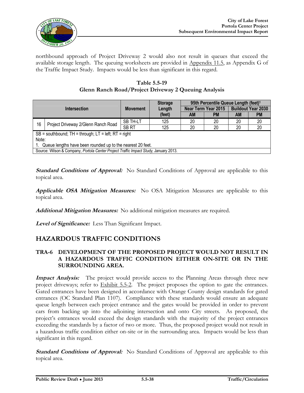

northbound approach of Project Driveway 2 would also not result in queues that exceed the available storage length. The queuing worksheets are provided in Appendix 11.5, as Appendix G of the Traffic Impact Study. Impacts would be less than significant in this regard.

**Table 5.5-19 Glenn Ranch Road/Project Driveway 2 Queuing Analysis**

| <b>Intersection</b>                                        |                                                                                      |                  | <b>Storage</b> | 95th Percentile Queue Length (feet) <sup>1</sup> |                            |                           |           |  |  |  |
|------------------------------------------------------------|--------------------------------------------------------------------------------------|------------------|----------------|--------------------------------------------------|----------------------------|---------------------------|-----------|--|--|--|
|                                                            |                                                                                      | <b>Movement</b>  | Length         |                                                  | <b>Near Term Year 2015</b> | <b>Buildout Year 2030</b> |           |  |  |  |
|                                                            |                                                                                      |                  | (feet)         | AM                                               | <b>PM</b>                  | <b>AM</b>                 | <b>PM</b> |  |  |  |
| 16                                                         | Project Driveway 2/Glenn Ranch Road                                                  | SB TH-LT         | 125            | 20                                               | 20                         | 20                        | 20        |  |  |  |
|                                                            |                                                                                      | SB <sub>RT</sub> | 125            | 20                                               | 20                         | 20                        | 20        |  |  |  |
|                                                            | $SB =$ southbound; TH = through; LT = left; RT = right                               |                  |                |                                                  |                            |                           |           |  |  |  |
| Note:                                                      |                                                                                      |                  |                |                                                  |                            |                           |           |  |  |  |
| Queue lengths have been rounded up to the nearest 20 feet. |                                                                                      |                  |                |                                                  |                            |                           |           |  |  |  |
|                                                            | Source: Wilson & Company, Portola Center Project Traffic Impact Study, January 2013. |                  |                |                                                  |                            |                           |           |  |  |  |

**Standard Conditions of Approval:** No Standard Conditions of Approval are applicable to this topical area.

**Applicable OSA Mitigation Measures:** No OSA Mitigation Measures are applicable to this topical area.

**Additional Mitigation Measures:** No additional mitigation measures are required.

**Level of Significance:** Less Than Significant Impact.

### **HAZARDOUS TRAFFIC CONDITIONS**

#### **TRA-6 DEVELOPMENT OF THE PROPOSED PROJECT WOULD NOT RESULT IN A HAZARDOUS TRAFFIC CONDITION EITHER ON-SITE OR IN THE SURROUNDING AREA.**

**Impact Analysis:** The project would provide access to the Planning Areas through three new project driveways; refer to Exhibit 5.5-2. The project proposes the option to gate the entrances. Gated entrances have been designed in accordance with Orange County design standards for gated entrances (OC Standard Plan 1107). Compliance with these standards would ensure an adequate queue length between each project entrance and the gates would be provided in order to prevent cars from backing up into the adjoining intersection and onto City streets. As proposed, the project's entrances would exceed the design standards with the majority of the project entrances exceeding the standards by a factor of two or more. Thus, the proposed project would not result in a hazardous traffic condition either on-site or in the surrounding area. Impacts would be less than significant in this regard.

**Standard Conditions of Approval:** No Standard Conditions of Approval are applicable to this topical area.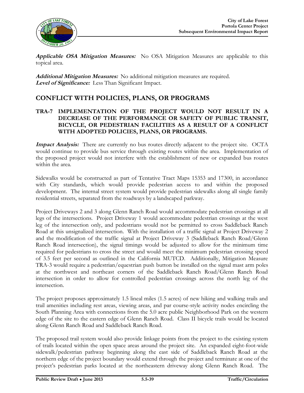

**Applicable OSA Mitigation Measures:** No OSA Mitigation Measures are applicable to this topical area.

**Additional Mitigation Measures:** No additional mitigation measures are required. **Level of Significance:** Less Than Significant Impact.

### **CONFLICT WITH POLICIES, PLANS, OR PROGRAMS**

#### **TRA-7 IMPLEMENTATION OF THE PROJECT WOULD NOT RESULT IN A DECREASE OF THE PERFORMANCE OR SAFETY OF PUBLIC TRANSIT, BICYCLE, OR PEDESTRIAN FACILITIES AS A RESULT OF A CONFLICT WITH ADOPTED POLICIES, PLANS, OR PROGRAMS.**

**Impact Analysis:** There are currently no bus routes directly adjacent to the project site. OCTA would continue to provide bus service through existing routes within the area. Implementation of the proposed project would not interfere with the establishment of new or expanded bus routes within the area.

Sidewalks would be constructed as part of Tentative Tract Maps 15353 and 17300, in accordance with City standards, which would provide pedestrian access to and within the proposed development. The internal street system would provide pedestrian sidewalks along all single family residential streets, separated from the roadways by a landscaped parkway.

Project Driveways 2 and 3 along Glenn Ranch Road would accommodate pedestrian crossings at all legs of the intersections. Project Driveway 1 would accommodate pedestrian crossings at the west leg of the intersection only, and pedestrians would not be permitted to cross Saddleback Ranch Road at this unsignalized intersection. With the installation of a traffic signal at Project Driveway 2 and the modification of the traffic signal at Project Driveway 3 (Saddleback Ranch Road/Glenn Ranch Road intersection), the signal timings would be adjusted to allow for the minimum time required for pedestrians to cross the street and would meet the minimum pedestrian crossing speed of 3.5 feet per second as outlined in the California MUTCD. Additionally, Mitigation Measure TRA-3 would require a pedestrian/equestrian push button be installed on the signal mast arm poles at the northwest and northeast corners of the Saddleback Ranch Road/Glenn Ranch Road intersection in order to allow for controlled pedestrian crossings across the north leg of the intersection.

The project proposes approximately 1.5 lineal miles (1.5 acres) of new hiking and walking trails and trail amenities including rest areas, viewing areas, and par course-style activity nodes encircling the South Planning Area with connections from the 5.0 acre public Neighborhood Park on the western edge of the site to the eastern edge of Glenn Ranch Road. Class II bicycle trails would be located along Glenn Ranch Road and Saddleback Ranch Road.

The proposed trail system would also provide linkage points from the project to the existing system of trails located within the open space areas around the project site. An expanded eight-foot-wide sidewalk/pedestrian pathway beginning along the east side of Saddleback Ranch Road at the northern edge of the project boundary would extend through the project and terminate at one of the project's pedestrian parks located at the northeastern driveway along Glenn Ranch Road. The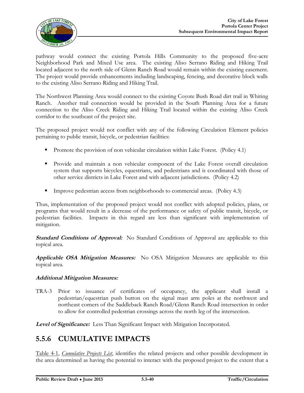

pathway would connect the existing Portola Hills Community to the proposed five-acre Neighborhood Park and Mixed Use area. The existing Aliso Serrano Riding and Hiking Trail located adjacent to the north side of Glenn Ranch Road would remain within the existing easement. The project would provide enhancements including landscaping, fencing, and decorative block walls to the existing Aliso Serrano Riding and Hiking Trail.

The Northwest Planning Area would connect to the existing Coyote Bush Road dirt trail in Whiting Ranch. Another trail connection would be provided in the South Planning Area for a future connection to the Aliso Creek Riding and Hiking Trail located within the existing Aliso Creek corridor to the southeast of the project site.

The proposed project would not conflict with any of the following Circulation Element policies pertaining to public transit, bicycle, or pedestrian facilities:

- **Promote the provision of non vehicular circulation within Lake Forest.** (Policy 4.1)
- Provide and maintain a non vehicular component of the Lake Forest overall circulation system that supports bicycles, equestrians, and pedestrians and is coordinated with those of other service districts in Lake Forest and with adjacent jurisdictions. (Policy 4.2)
- Improve pedestrian access from neighborhoods to commercial areas. (Policy 4.3)

Thus, implementation of the proposed project would not conflict with adopted policies, plans, or programs that would result in a decrease of the performance or safety of public transit, bicycle, or pedestrian facilities. Impacts in this regard are less than significant with implementation of mitigation.

**Standard Conditions of Approval:** No Standard Conditions of Approval are applicable to this topical area.

**Applicable OSA Mitigation Measures:** No OSA Mitigation Measures are applicable to this topical area.

#### **Additional Mitigation Measures:**

TRA-3 Prior to issuance of certificates of occupancy, the applicant shall install a pedestrian/equestrian push button on the signal mast arm poles at the northwest and northeast corners of the Saddleback Ranch Road/Glenn Ranch Road intersection in order to allow for controlled pedestrian crossings across the north leg of the intersection.

**Level of Significance:** Less Than Significant Impact with Mitigation Incorporated.

# **5.5.6 CUMULATIVE IMPACTS**

Table 4-1, *Cumulative Projects List*, identifies the related projects and other possible development in the area determined as having the potential to interact with the proposed project to the extent that a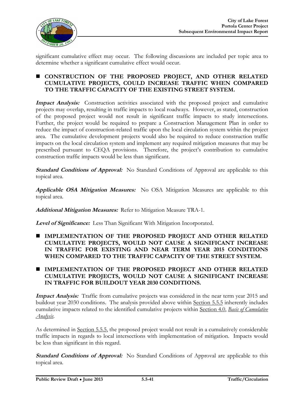

significant cumulative effect may occur. The following discussions are included per topic area to determine whether a significant cumulative effect would occur.

#### **CONSTRUCTION OF THE PROPOSED PROJECT, AND OTHER RELATED CUMULATIVE PROJECTS, COULD INCREASE TRAFFIC WHEN COMPARED TO THE TRAFFIC CAPACITY OF THE EXISTING STREET SYSTEM.**

**Impact Analysis:** Construction activities associated with the proposed project and cumulative projects may overlap, resulting in traffic impacts to local roadways. However, as stated, construction of the proposed project would not result in significant traffic impacts to study intersections. Further, the project would be required to prepare a Construction Management Plan in order to reduce the impact of construction-related traffic upon the local circulation system within the project area. The cumulative development projects would also be required to reduce construction traffic impacts on the local circulation system and implement any required mitigation measures that may be prescribed pursuant to CEQA provisions. Therefore, the project's contribution to cumulative construction traffic impacts would be less than significant.

**Standard Conditions of Approval:** No Standard Conditions of Approval are applicable to this topical area.

**Applicable OSA Mitigation Measures:** No OSA Mitigation Measures are applicable to this topical area.

**Additional Mitigation Measures:** Refer to Mitigation Measure TRA-1.

**Level of Significance:** Less Than Significant With Mitigation Incorporated.

- **IMPLEMENTATION OF THE PROPOSED PROJECT AND OTHER RELATED CUMULATIVE PROJECTS, WOULD NOT CAUSE A SIGNIFICANT INCREASE IN TRAFFIC FOR EXISTING AND NEAR TERM YEAR 2015 CONDITIONS WHEN COMPARED TO THE TRAFFIC CAPACITY OF THE STREET SYSTEM.**
- **IMPLEMENTATION OF THE PROPOSED PROJECT AND OTHER RELATED CUMULATIVE PROJECTS, WOULD NOT CAUSE A SIGNIFICANT INCREASE IN TRAFFIC FOR BUILDOUT YEAR 2030 CONDITIONS.**

**Impact Analysis:** Traffic from cumulative projects was considered in the near term year 2015 and buildout year 2030 conditions. The analysis provided above within Section 5.5.5 inherently includes cumulative impacts related to the identified cumulative projects within Section 4.0, *Basis of Cumulative Analysis*.

As determined in Section 5.5.5, the proposed project would not result in a cumulatively considerable traffic impacts in regards to local intersections with implementation of mitigation. Impacts would be less than significant in this regard.

**Standard Conditions of Approval:** No Standard Conditions of Approval are applicable to this topical area.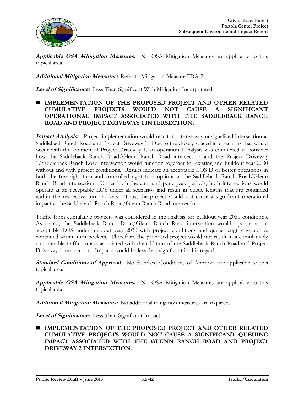

**Applicable OSA Mitigation Measures:** No OSA Mitigation Measures are applicable to this topical area.

**Additional Mitigation Measures:** Refer to Mitigation Measure TRA-2.

**Level of Significance:** Less Than Significant With Mitigation Incorporated.

#### **IMPLEMENTATION OF THE PROPOSED PROJECT AND OTHER RELATED CUMULATIVE PROJECTS WOULD NOT CAUSE A SIGNIFICANT OPERATIONAL IMPACT ASSOCIATED WITH THE SADDLEBACK RANCH ROAD AND PROJECT DRIVEWAY 1 INTERSECTION.**

**Impact Analysis:** Project implementation would result in a three-way unsignalized intersection at Saddleback Ranch Road and Project Driveway 1. Due to the closely spaced intersections that would occur with the addition of Project Driveway 1, an operational analysis was conducted to consider how the Saddleback Ranch Road/Glenn Ranch Road intersection and the Project Driveway 1/Saddleback Ranch Road intersection would function together for existing and buildout year 2030 without and with project conditions. Results indicate an acceptable LOS D or better operations in both the free-right turn and controlled right turn options at the Saddleback Ranch Road/Glenn Ranch Road intersection. Under both the a.m. and p.m. peak periods, both intersections would operate at an acceptable LOS under all scenarios and result in queue lengths that are contained within the respective turn pockets. Thus, the project would not cause a significant operational impact at the Saddleback Ranch Road/Glenn Ranch Road intersection.

Traffic from cumulative projects was considered in the analysis for buildout year 2030 conditions. As stated, the Saddleback Ranch Road/Glenn Ranch Road intersection would operate at an acceptable LOS under buildout year 2030 with project conditions and queue lengths would be contained within turn pockets. Therefore, the proposed project would not result in a cumulatively considerable traffic impact associated with the addition of the Saddleback Ranch Road and Project Driveway 1 intersection. Impacts would be less than significant in this regard.

**Standard Conditions of Approval:** No Standard Conditions of Approval are applicable to this topical area.

**Applicable OSA Mitigation Measures:** No OSA Mitigation Measures are applicable to this topical area.

**Additional Mitigation Measures:** No additional mitigation measures are required.

**Level of Significance:** Less Than Significant Impact.

 **IMPLEMENTATION OF THE PROPOSED PROJECT AND OTHER RELATED CUMULATIVE PROJECTS WOULD NOT CAUSE A SIGNIFICANT QUEUING IMPACT ASSOCIATED WITH THE GLENN RANCH ROAD AND PROJECT DRIVEWAY 2 INTERSECTION.**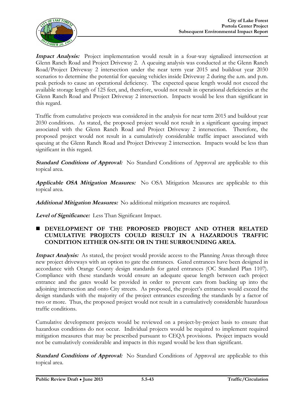

**Impact Analysis:** Project implementation would result in a four-way signalized intersection at Glenn Ranch Road and Project Driveway 2. A queuing analysis was conducted at the Glenn Ranch Road/Project Driveway 2 intersection under the near term year 2015 and buildout year 2030 scenarios to determine the potential for queuing vehicles inside Driveway 2 during the a.m. and p.m. peak periods to cause an operational deficiency. The expected queue length would not exceed the available storage length of 125 feet, and, therefore, would not result in operational deficiencies at the Glenn Ranch Road and Project Driveway 2 intersection. Impacts would be less than significant in this regard.

Traffic from cumulative projects was considered in the analysis for near term 2015 and buildout year 2030 conditions. As stated, the proposed project would not result in a significant queuing impact associated with the Glenn Ranch Road and Project Driveway 2 intersection. Therefore, the proposed project would not result in a cumulatively considerable traffic impact associated with queuing at the Glenn Ranch Road and Project Driveway 2 intersection. Impacts would be less than significant in this regard.

**Standard Conditions of Approval:** No Standard Conditions of Approval are applicable to this topical area.

**Applicable OSA Mitigation Measures:** No OSA Mitigation Measures are applicable to this topical area.

**Additional Mitigation Measures:** No additional mitigation measures are required.

**Level of Significance:** Less Than Significant Impact.

#### **DEVELOPMENT OF THE PROPOSED PROJECT AND OTHER RELATED CUMULATIVE PROJECTS COULD RESULT IN A HAZARDOUS TRAFFIC CONDITION EITHER ON-SITE OR IN THE SURROUNDING AREA.**

**Impact Analysis:** As stated, the project would provide access to the Planning Areas through three new project driveways with an option to gate the entrances. Gated entrances have been designed in accordance with Orange County design standards for gated entrances (OC Standard Plan 1107). Compliance with these standards would ensure an adequate queue length between each project entrance and the gates would be provided in order to prevent cars from backing up into the adjoining intersection and onto City streets. As proposed, the project's entrances would exceed the design standards with the majority of the project entrances exceeding the standards by a factor of two or more. Thus, the proposed project would not result in a cumulatively considerable hazardous traffic conditions.

Cumulative development projects would be reviewed on a project-by-project basis to ensure that hazardous conditions do not occur. Individual projects would be required to implement required mitigation measures that may be prescribed pursuant to CEQA provisions. Project impacts would not be cumulatively considerable and impacts in this regard would be less than significant.

**Standard Conditions of Approval:** No Standard Conditions of Approval are applicable to this topical area.